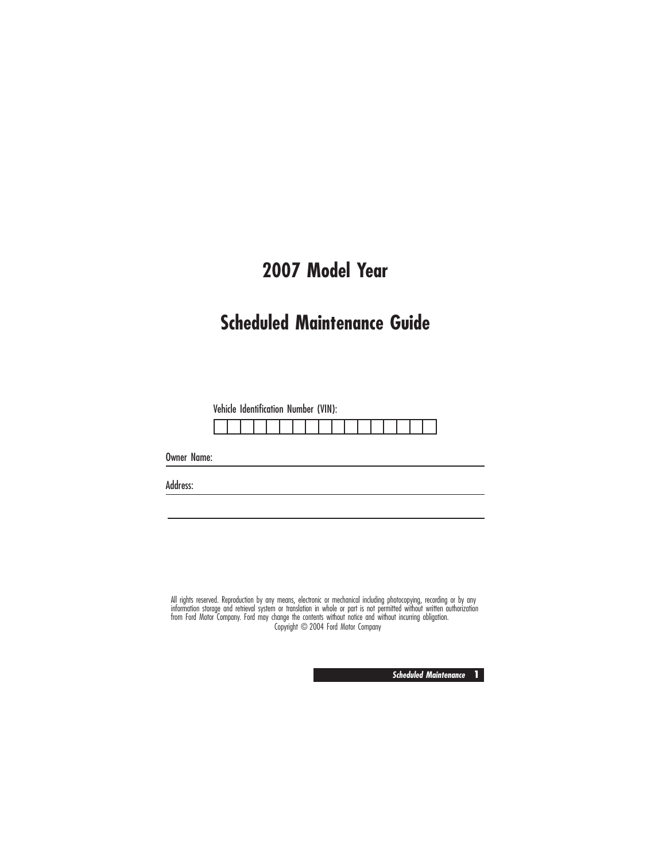# **2007 Model Year**

# **Scheduled Maintenance Guide**

Vehicle Identification Number (VIN):

Owner Name:

Address:

All rights reserved. Reproduction by any means, electronic or mechanical including photocopying, recording or by any<br>information storage and retrieval system or translation in whole or part is not permitted without written Copyright © 2004 Ford Motor Company

**Scheduled Maintenance 1**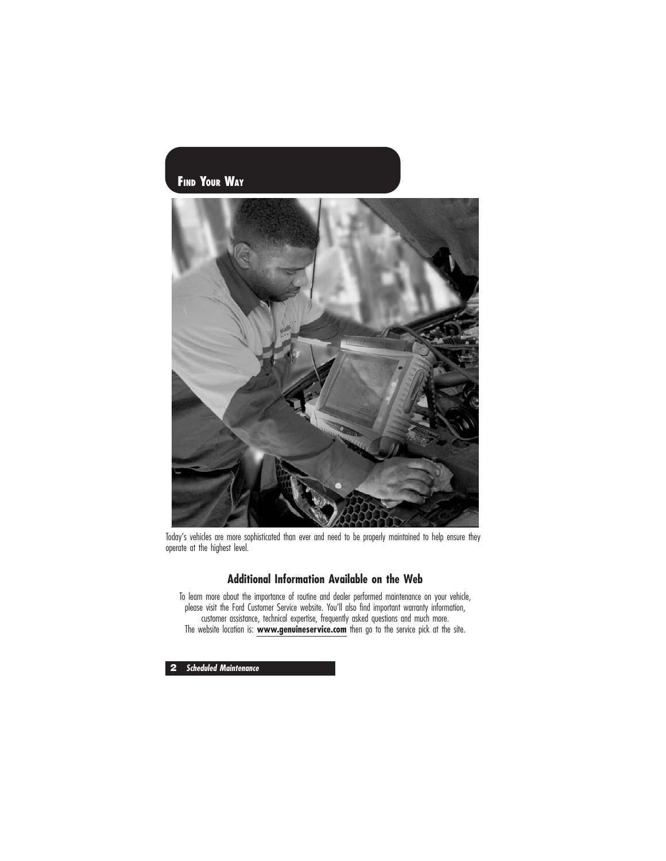### **FIND YOUR WAY**



Today's vehicles are more sophisticated than ever and need to be properly maintained to help ensure they operate at the highest level.

### **Additional Information Available on the Web**

To learn more about the importance of routine and dealer performed maintenance on your vehicle, please visit the Ford Customer Service website. You'll also find important warranty information, customer assistance, technical expertise, frequently asked questions and much more. The website location is: **www.genuineservice.com** then go to the service pick at the site.

**2 Scheduled Maintenance**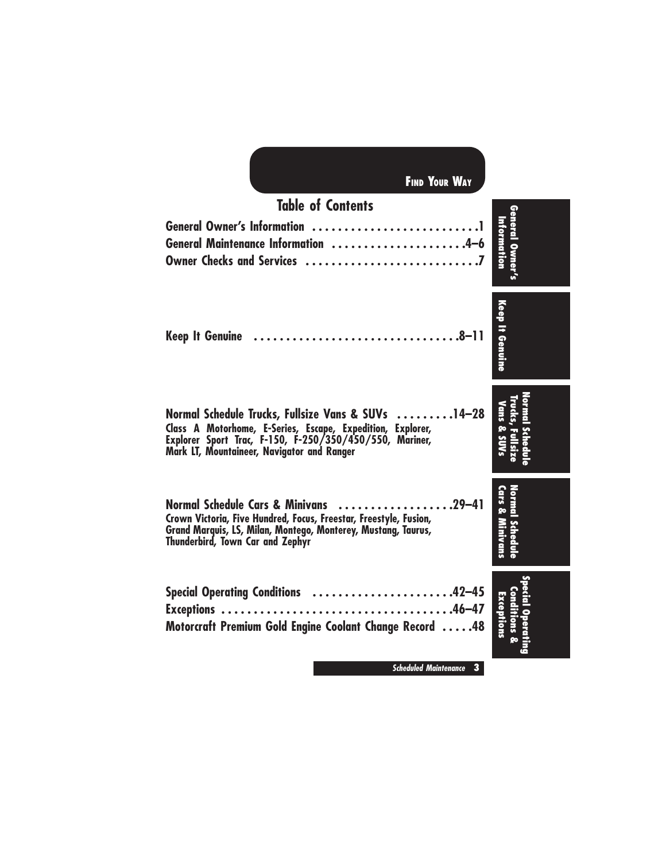| <b>FIND YOUR WAY</b>                                                                                                                                                                                                      |                              |
|---------------------------------------------------------------------------------------------------------------------------------------------------------------------------------------------------------------------------|------------------------------|
| <b>Table of Contents</b>                                                                                                                                                                                                  |                              |
| General Maintenance Information 4-6                                                                                                                                                                                       | General Owner<br>Information |
| <b>Keep It Genuine</b>                                                                                                                                                                                                    | <b>Keep It Genuine</b>       |
| Normal Schedule Trucks, Fullsize Vans & SUVs 14-28<br>Class A Motorhome, E-Series, Escape, Expedition, Explorer,<br>Explorer Sport Trac, F-150, F-250/350/450/550, Mariner,<br>Mark LT, Mountaineer, Navigator and Ranger | Jans & SUV.                  |
| Normal Schedule Cars & Minivans 29-41<br>Crown Victoria, Five Hundred, Focus, Freestar, Freestyle, Fusion,<br>Grand Marquis, LS, Milan, Montego, Monterey, Mustang, Taurus,<br><b>Thunderbird, Town Car and Zephyr</b>    | <b>Cars &amp; Minivans</b>   |
| Special Operating Conditions 42-45<br>Motorcraft Premium Gold Engine Coolant Change Record 48                                                                                                                             | Exceptions                   |
| <b>Scheduled Maintenance</b><br>3                                                                                                                                                                                         |                              |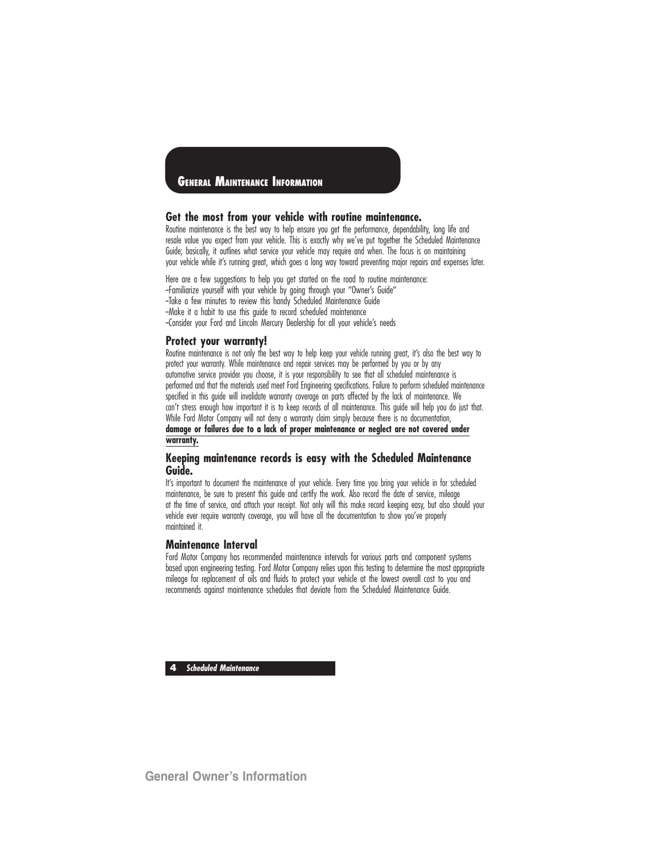### **GENERAL MAINTENANCE INFORMATION**

#### **Get the most from your vehicle with routine maintenance.**

Routine maintenance is the best way to help ensure you get the performance, dependability, long life and resale value you expect from your vehicle. This is exactly why we've put together the Scheduled Maintenance Guide; basically, it outlines what service your vehicle may require and when. The focus is on maintaining your vehicle while it's running great, which goes a long way toward preventing major repairs and expenses later.

Here are a few suggestions to help you get started on the road to routine maintenance: -Familiarize yourself with your vehicle by going through your "Owner's Guide" --Take a few minutes to review this handy Scheduled Maintenance Guide -Make it a habit to use this guide to record scheduled maintenance -Consider your Ford and Lincoln Mercury Dealership for all your vehicle's needs

#### **Protect your warranty!**

Routine maintenance is not only the best way to help keep your vehicle running great, it's also the best way to protect your warranty. While maintenance and repair services may be performed by you or by any automotive service provider you choose, it is your responsibility to see that all scheduled maintenance is performed and that the materials used meet Ford Engineering specifications. Failure to perform scheduled maintenance specified in this guide will invalidate warranty coverage on parts affected by the lack of maintenance. We can't stress enough how important it is to keep records of all maintenance. This guide will help you do just that. While Ford Motor Company will not deny a warranty claim simply because there is no documentation, **damage or failures due to a lack of proper maintenance or neglect are not covered under warranty.**

#### **Keeping maintenance records is easy with the Scheduled Maintenance Guide.**

It's important to document the maintenance of your vehicle. Every time you bring your vehicle in for scheduled maintenance, be sure to present this guide and certify the work. Also record the date of service, mileage at the time of service, and attach your receipt. Not only will this make record keeping easy, but also should your vehicle ever require warranty coverage, you will have all the documentation to show you've properly maintained it.

#### **Maintenance Interval**

Ford Motor Company has recommended maintenance intervals for various parts and component systems based upon engineering testing. Ford Motor Company relies upon this testing to determine the most appropriate mileage for replacement of oils and fluids to protect your vehicle at the lowest overall cost to you and recommends against maintenance schedules that deviate from the Scheduled Maintenance Guide.

**4 Scheduled Maintenance**

**General Owner's Information**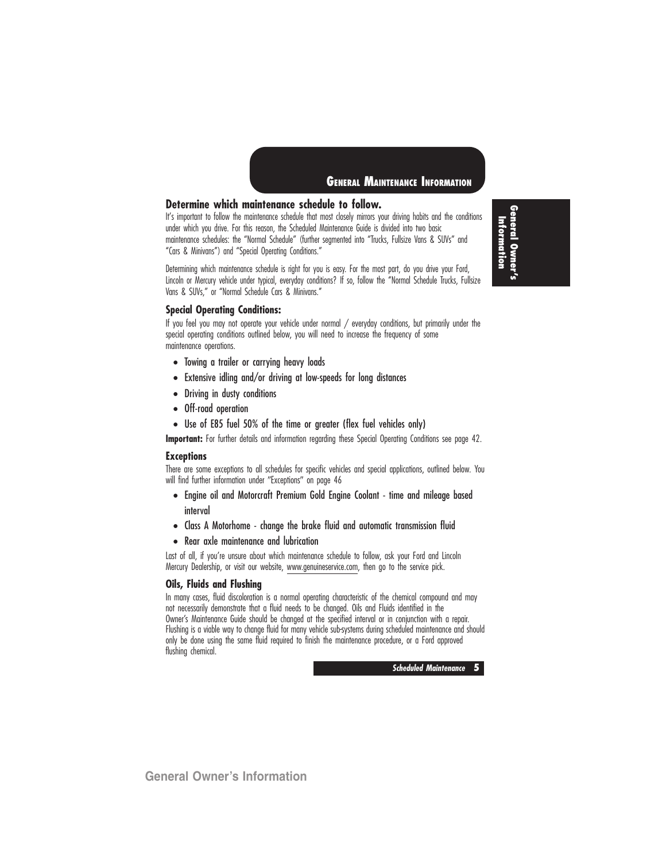

### **Determine which maintenance schedule to follow.**

It's important to follow the maintenance schedule that most closely mirrors your driving habits and the conditions under which you drive. For this reason, the Scheduled Maintenance Guide is divided into two basic maintenance schedules: the ''Normal Schedule'' (further segmented into ''Trucks, Fullsize Vans & SUVs'' and ''Cars & Minivans'') and ''Special Operating Conditions.''

Determining which maintenance schedule is right for you is easy. For the most part, do you drive your Ford, Lincoln or Mercury vehicle under typical, everyday conditions? If so, follow the ''Normal Schedule Trucks, Fullsize Vans & SUVs,'' or ''Normal Schedule Cars & Minivans.''

**General Owner's** Information **Information**

#### **Special Operating Conditions:**

If you feel you may not operate your vehicle under normal / everyday conditions, but primarily under the special operating conditions outlined below, you will need to increase the frequency of some maintenance operations.

- Towing a trailer or carrying heavy loads
- Extensive idling and/or driving at low-speeds for long distances
- Driving in dusty conditions
- Off-road operation
- Use of E85 fuel 50% of the time or greater (flex fuel vehicles only)

**Important:** For further details and information regarding these Special Operating Conditions see page 42.

#### **Exceptions**

There are some exceptions to all schedules for specific vehicles and special applications, outlined below. You will find further information under "Exceptions" on page 46

- Engine oil and Motorcraft Premium Gold Engine Coolant time and mileage based interval
- Class A Motorhome change the brake fluid and automatic transmission fluid
- Rear axle maintenance and lubrication

Last of all, if you're unsure about which maintenance schedule to follow, ask your Ford and Lincoln Mercury Dealership, or visit our website, www.genuineservice.com, then go to the service pick.

#### **Oils, Fluids and Flushing**

In many cases, fluid discoloration is a normal operating characteristic of the chemical compound and may not necessarily demonstrate that a fluid needs to be changed. Oils and Fluids identified in the Owner's Maintenance Guide should be changed at the specified interval or in conjunction with a repair. Flushing is a viable way to change fluid for many vehicle sub-systems during scheduled maintenance and should only be done using the same fluid required to finish the maintenance procedure, or a Ford approved flushing chemical.

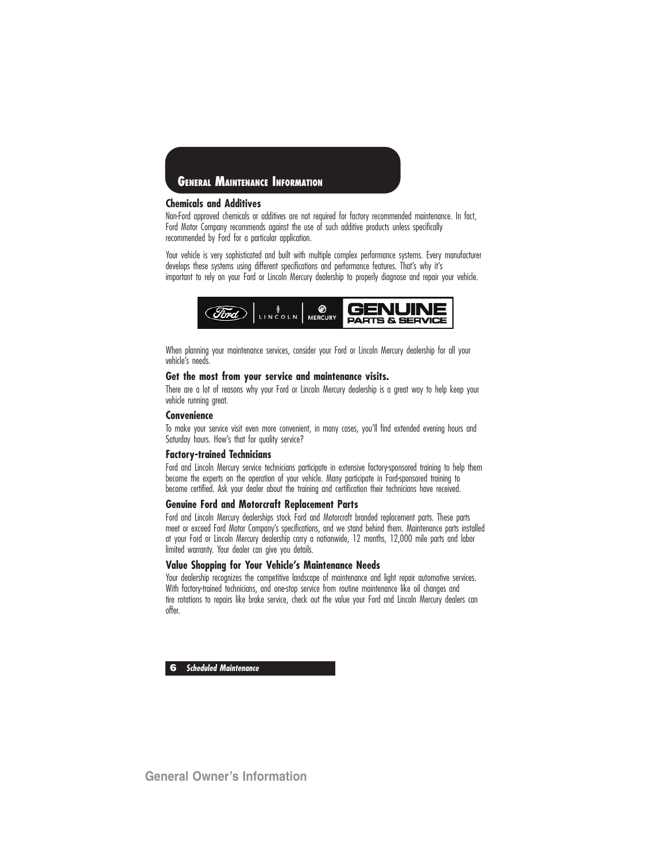

#### **Chemicals and Additives**

Non-Ford approved chemicals or additives are not required for factory recommended maintenance. In fact, Ford Motor Company recommends against the use of such additive products unless specifically recommended by Ford for a particular application.

Your vehicle is very sophisticated and built with multiple complex performance systems. Every manufacturer develops these systems using different specifications and performance features. That's why it's important to rely on your Ford or Lincoln Mercury dealership to properly diagnose and repair your vehicle.



When planning your maintenance services, consider your Ford or Lincoln Mercury dealership for all your vehicle's needs.

### **Get the most from your service and maintenance visits.**

There are a lot of reasons why your Ford or Lincoln Mercury dealership is a great way to help keep your vehicle running great.

#### **Convenience**

To make your service visit even more convenient, in many cases, you'll find extended evening hours and Saturday hours. How's that for quality service?

### **Factory-trained Technicians**

Ford and Lincoln Mercury service technicians participate in extensive factory-sponsored training to help them become the experts on the operation of your vehicle. Many participate in Ford-sponsored training to become certified. Ask your dealer about the training and certification their technicians have received.

#### **Genuine Ford and Motorcraft Replacement Parts**

Ford and Lincoln Mercury dealerships stock Ford and Motorcraft branded replacement parts. These parts meet or exceed Ford Motor Company's specifications, and we stand behind them. Maintenance parts installed at your Ford or Lincoln Mercury dealership carry a nationwide, 12 months, 12,000 mile parts and labor limited warranty. Your dealer can give you details.

#### **Value Shopping for Your Vehicle's Maintenance Needs**

Your dealership recognizes the competitive landscape of maintenance and light repair automotive services. With factory-trained technicians, and one-stop service from routine maintenance like oil changes and tire rotations to repairs like brake service, check out the value your Ford and Lincoln Mercury dealers can offer.

**6 Scheduled Maintenance**

**General Owner's Information**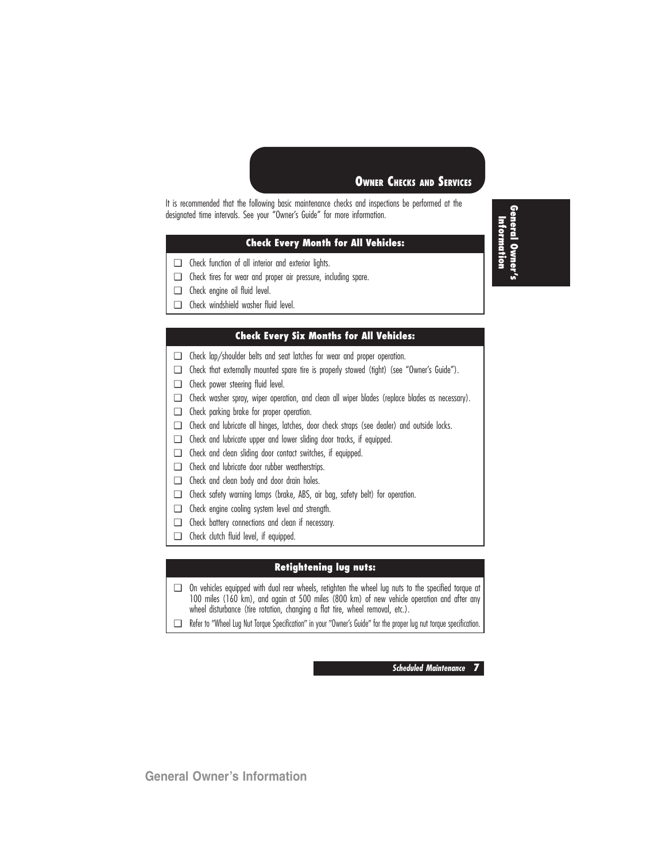### **OWNER CHECKS AND SERVICES**

It is recommended that the following basic maintenance checks and inspections be performed at the designated time intervals. See your "Owner's Guide" for more information.

### **Check Every Month for All Vehicles:**

- ❑ Check function of all interior and exterior lights.
- ❑ Check tires for wear and proper air pressure, including spare.
- ❑ Check engine oil fluid level.
- ❑ Check windshield washer fluid level.

### **Check Every Six Months for All Vehicles:**

- ❑ Check lap/shoulder belts and seat latches for wear and proper operation.
- ❑ Check that externally mounted spare tire is properly stowed (tight) (see "Owner's Guide").
- ❑ Check power steering fluid level.
- ❑ Check washer spray, wiper operation, and clean all wiper blades (replace blades as necessary).
- ❑ Check parking brake for proper operation.
- ❑ Check and lubricate all hinges, latches, door check straps (see dealer) and outside locks.
- ❑ Check and lubricate upper and lower sliding door tracks, if equipped.
- ❑ Check and clean sliding door contact switches, if equipped.
- ❑ Check and lubricate door rubber weatherstrips.
- ❑ Check and clean body and door drain holes.
- ❑ Check safety warning lamps (brake, ABS, air bag, safety belt) for operation.
- ❑ Check engine cooling system level and strength.
- ❑ Check battery connections and clean if necessary.
- ❑ Check clutch fluid level, if equipped.

### **Retightening lug nuts:**

- ❑ On vehicles equipped with dual rear wheels, retighten the wheel lug nuts to the specified torque at 100 miles (160 km), and again at 500 miles (800 km) of new vehicle operation and after any wheel disturbance (tire rotation, changing a flat tire, wheel removal, etc.).
- □ Refer to "Wheel Lug Nut Torque Specification" in your "Owner's Guide" for the proper lug nut torque specification.

**Scheduled Maintenance 7**

**General Owner's Information**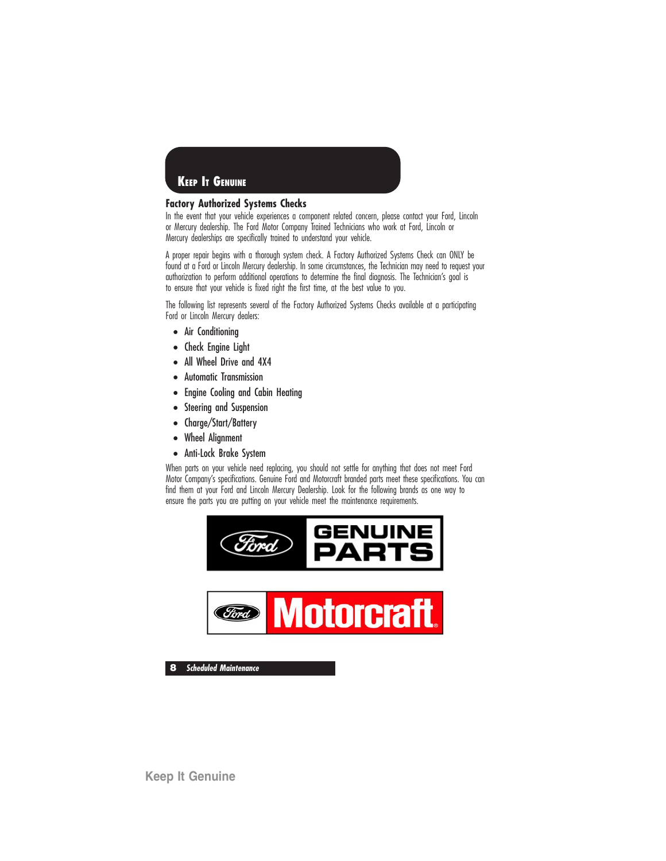

### **Factory Authorized Systems Checks**

In the event that your vehicle experiences a component related concern, please contact your Ford, Lincoln or Mercury dealership. The Ford Motor Company Trained Technicians who work at Ford, Lincoln or Mercury dealerships are specifically trained to understand your vehicle.

A proper repair begins with a thorough system check. A Factory Authorized Systems Check can ONLY be found at a Ford or Lincoln Mercury dealership. In some circumstances, the Technician may need to request your authorization to perform additional operations to determine the final diagnosis. The Technician's goal is to ensure that your vehicle is fixed right the first time, at the best value to you.

The following list represents several of the Factory Authorized Systems Checks available at a participating Ford or Lincoln Mercury dealers:

- Air Conditioning
- Check Engine Light
- All Wheel Drive and 4X4
- Automatic Transmission
- Engine Cooling and Cabin Heating
- Steering and Suspension
- Charge/Start/Battery
- Wheel Alignment
- Anti-Lock Brake System

When parts on your vehicle need replacing, you should not settle for anything that does not meet Ford Motor Company's specifications. Genuine Ford and Motorcraft branded parts meet these specifications. You can find them at your Ford and Lincoln Mercury Dealership. Look for the following brands as one way to ensure the parts you are putting on your vehicle meet the maintenance requirements.



**8 Scheduled Maintenance**

**Keep It Genuine**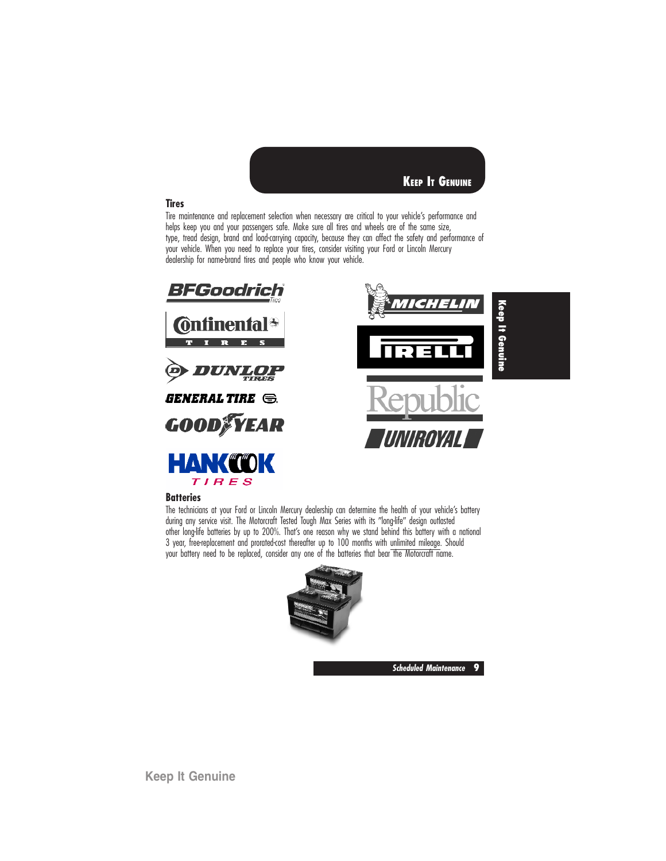

### **Tires**

Tire maintenance and replacement selection when necessary are critical to your vehicle's performance and helps keep you and your passengers safe. Make sure all tires and wheels are of the same size, type, tread design, brand and load-carrying capacity, because they can affect the safety and performance of your vehicle. When you need to replace your tires, consider visiting your Ford or Lincoln Mercury dealership for name-brand tires and people who know your vehicle.



#### **Batteries**

The technicians at your Ford or Lincoln Mercury dealership can determine the health of your vehicle's battery during any service visit. The Motorcraft Tested Tough Max Series with its "long-life" design outlasted other long-life batteries by up to 200%. That's one reason why we stand behind this battery with a national 3 year, free-replacement and prorated-cost thereafter up to 100 months with unlimited mileage. Should your battery need to be replaced, consider any one of the batteries that bear the Motorcraft name.



**Scheduled Maintenance 9**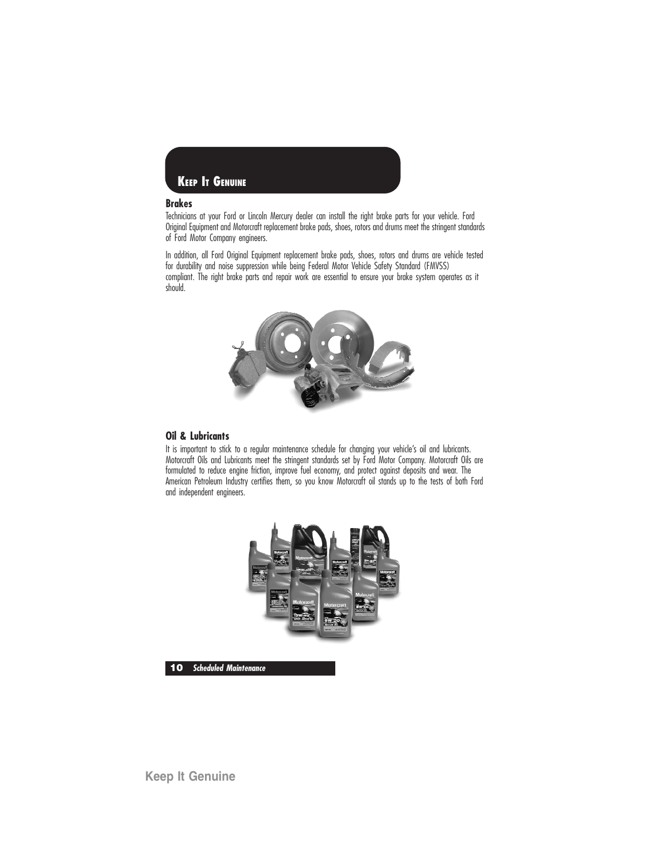

### **Brakes**

Technicians at your Ford or Lincoln Mercury dealer can install the right brake parts for your vehicle. Ford Original Equipment and Motorcraft replacement brake pads, shoes, rotors and drums meet the stringent standards of Ford Motor Company engineers.

In addition, all Ford Original Equipment replacement brake pads, shoes, rotors and drums are vehicle tested for durability and noise suppression while being Federal Motor Vehicle Safety Standard (FMVSS) compliant. The right brake parts and repair work are essential to ensure your brake system operates as it should.



#### **Oil & Lubricants**

It is important to stick to a regular maintenance schedule for changing your vehicle's oil and lubricants. Motorcraft Oils and Lubricants meet the stringent standards set by Ford Motor Company. Motorcraft Oils are formulated to reduce engine friction, improve fuel economy, and protect against deposits and wear. The American Petroleum Industry certifies them, so you know Motorcraft oil stands up to the tests of both Ford and independent engineers.



**10 Scheduled Maintenance**

**Keep It Genuine**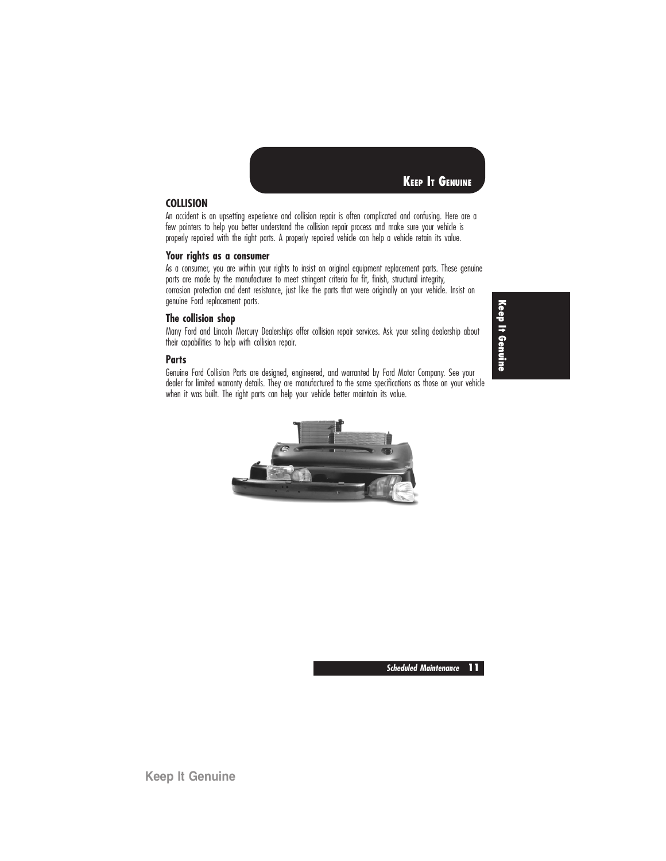

### **COLLISION**

An accident is an upsetting experience and collision repair is often complicated and confusing. Here are a few pointers to help you better understand the collision repair process and make sure your vehicle is properly repaired with the right parts. A properly repaired vehicle can help a vehicle retain its value.

#### **Your rights as a consumer**

As a consumer, you are within your rights to insist on original equipment replacement parts. These genuine parts are made by the manufacturer to meet stringent criteria for fit, finish, structural integrity, corrosion protection and dent resistance, just like the parts that were originally on your vehicle. Insist on genuine Ford replacement parts.

#### **The collision shop**

Many Ford and Lincoln Mercury Dealerships offer collision repair services. Ask your selling dealership about their capabilities to help with collision repair.

### **Parts**

Genuine Ford Collision Parts are designed, engineered, and warranted by Ford Motor Company. See your dealer for limited warranty details. They are manufactured to the same specifications as those on your vehicle when it was built. The right parts can help your vehicle better maintain its value.



**Keep It Genuine**

**Scheduled Maintenance 11**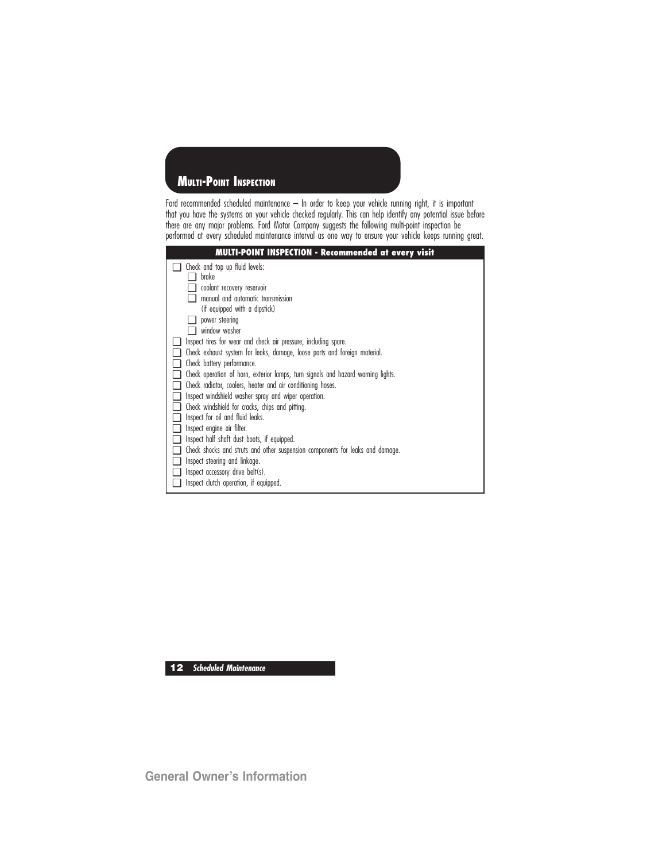### **MULTI-POINT INSPECTION**

Ford recommended scheduled maintenance – In order to keep your vehicle running right, it is important that you have the systems on your vehicle checked regularly. This can help identify any potential issue before there are any major problems. Ford Motor Company suggests the following multi-point inspection be performed at every scheduled maintenance interval as one way to ensure your vehicle keeps running great.



**12 Scheduled Maintenance**

**General Owner's Information**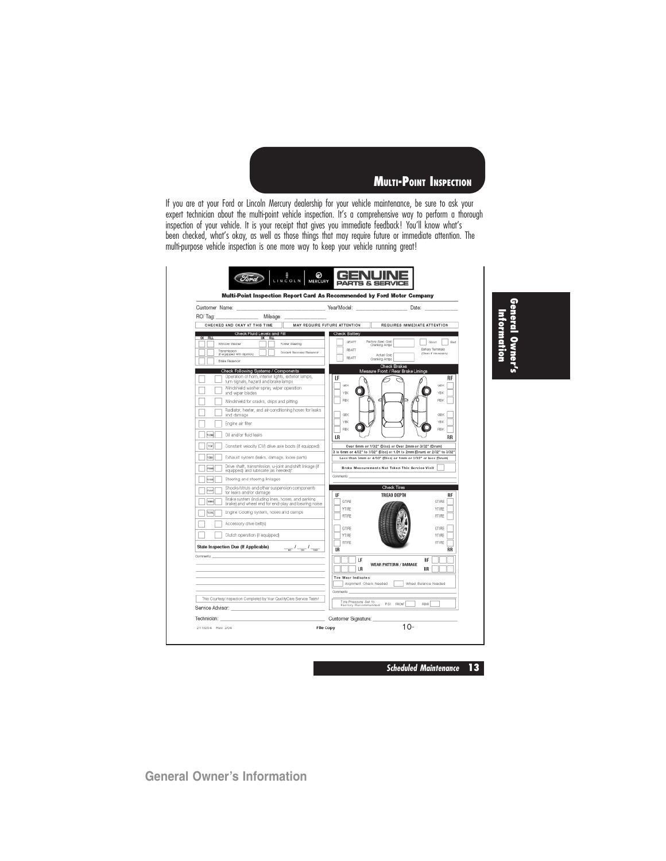**MULTI-POINT INSPECTION**

If you are at your Ford or Lincoln Mercury dealership for your vehicle maintenance, be sure to ask your expert technician about the multi-point vehicle inspection. It's a comprehensive way to perform a thorough inspection of your vehicle. It is your receipt that gives you immediate feedback! You'll know what's been checked, what's okay, as well as those things that may require future or immediate attention. The multi-purpose vehicle inspection is one more way to keep your vehicle running great!

| Gustomer Name:                                                                                                         | Year/Model:<br>Date:                                                                                                              |
|------------------------------------------------------------------------------------------------------------------------|-----------------------------------------------------------------------------------------------------------------------------------|
| RO/Tag<br>Mileage:                                                                                                     |                                                                                                                                   |
| CHECKED AND OKAY AT THIS TIME                                                                                          | MAY REQUIRE FUTURE ATTENTION<br>REQUIRES IMMEDIATE ATTENTION                                                                      |
| Check Fluid Levels and Fill<br>$0K$ FLI<br>OK FILL                                                                     | Check Battery                                                                                                                     |
| Window Wesher<br>Power Steering                                                                                        | Factory Spec Cold<br>GEATT<br>Good<br>Part<br>Oranking Amps                                                                       |
| Transmission<br><b>Coolart Recovery Reservoir</b><br>(If equipped with dipetiols)                                      | Batton: Torminals<br><b>ERATT</b><br><b>Clean I' necessary</b><br>Actual Oold<br><b>FRATT</b>                                     |
| Balle Reservoir                                                                                                        | Cranking Amps<br>Check Brakes                                                                                                     |
| Check Following Systems / Components                                                                                   | Measure Front / Rear Brake Linings                                                                                                |
| Operation of horn, interior lights, exterior lamps,<br>turn signals, hazard and brake lamps                            | LF<br><b>RF</b><br><b>GBK</b><br><b>GBK</b>                                                                                       |
| Windshield washer spray, wiper operation<br>and wiper blades                                                           | YBK<br><b>YBK</b>                                                                                                                 |
| Windshield for cracks, chips and pitting                                                                               | <b>FBK</b><br><b>FBK</b>                                                                                                          |
| Radiator, heater, and air-conditioning hoses for leaks<br>and damage                                                   | GEK<br><b>GBK</b>                                                                                                                 |
| Engine air filter                                                                                                      | VRK<br>VRK                                                                                                                        |
| <b>FLOAD</b><br>Oil and/or fluid leaks                                                                                 | RBK<br><b>FIBK</b><br>LR<br><b>RR</b>                                                                                             |
| TEW<br>Constant velocity (CV) drive ade boots (if equipped)                                                            | Over 6mm or 7/32" (Disc) or Over 2mm or 3/32" (Drum)<br>3 to 6mm or 4/32" to 7/32" (Disc) or 1.01 to 2mm (Drum) or 2/32" to 3/32" |
| has)<br>Exhaust system (leaks, damage, loose parts)                                                                    | Less than 3mm or 4/32" (Disc) or 1mm or 2/32" or less (Drum)                                                                      |
| Drive shaft, transmission, u-joint and shift linkage (if<br>nsus<br>equipped) and lubricate (as needed)*               | Brake Measurements Not Taken This Service Visit                                                                                   |
| Steering and steering linkages<br>han                                                                                  | Comments:                                                                                                                         |
| Shocks/struts and other suspension components<br><b>Inset</b><br>for leaks and/or damage                               | Check Tires<br>LF<br><b>TREAD DEPTH</b><br><b>RF</b>                                                                              |
| Brake system (induding lines, hoses, and parking<br><b>TOUL</b><br>brake) and wheel end for end-play and bearing noise | GTIRE<br>GTIRE                                                                                                                    |
| Engine Cooling system, hoses and clamps<br><b>VOM</b>                                                                  | YTIRE<br>YTIRE<br><b>RTIRE</b><br>RTIRE                                                                                           |
| Accessory drive beltist                                                                                                | GTIRE<br>GTIRE                                                                                                                    |
| Clutch operation (if equipped)                                                                                         | <b>YTIRE</b><br>YTIRE                                                                                                             |
| State Inspection Due (If Applicable)<br>$ \frac{l}{2}$ $\frac{l}{2}$ $\frac{l}{2}$ $\frac{l}{2}$                       | <b>RTIRE</b><br>RTIRE<br>LR<br>RR                                                                                                 |
| Comments:                                                                                                              |                                                                                                                                   |
|                                                                                                                        | LF<br>RF<br>WEAR PATTERN / DAMAGE<br>LR<br><b>RR</b>                                                                              |
|                                                                                                                        | <b>Tire Wear Indicates:</b>                                                                                                       |
|                                                                                                                        | Alignment Check Needed<br>Wheel Balance Needed                                                                                    |
|                                                                                                                        | Comments-                                                                                                                         |
| This Courtesy Inspection Completed by Your QualityCare Service Team!                                                   | Tire Pressure Set to<br>PSI FRONT<br>REAR<br>Factory Recommended                                                                  |
| Service Advisor:                                                                                                       |                                                                                                                                   |

**General Owner's** Information **Information**

**Scheduled Maintenance 13**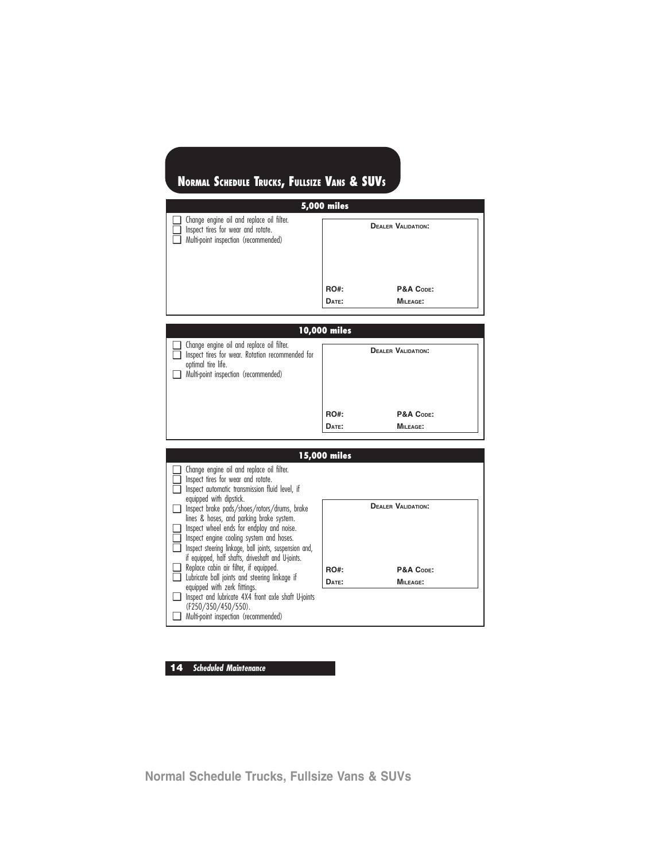| <b>5,000 miles</b>                                                                                                      |                      |                                                           |  |  |
|-------------------------------------------------------------------------------------------------------------------------|----------------------|-----------------------------------------------------------|--|--|
| Change engine oil and replace oil filter.<br>Inspect tires for wear and rotate.<br>Multi-point inspection (recommended) | <b>RO#:</b><br>DATE: | <b>DEALER VALIDATION:</b><br>P&A CODE:<br><b>MILEAGE:</b> |  |  |

**10,000 miles** ❑ Change engine oil and replace oil filter. ❑ Inspect tires for wear. Rotation recommended for optimal tire life. ❑ Multi-point inspection (recommended) **DEALER VALIDATION:** RO#: P&A Code: **DATE: MILEAGE:**

|                                                                                       | 15,000 miles |                           |
|---------------------------------------------------------------------------------------|--------------|---------------------------|
| Change engine oil and replace oil filter.                                             |              |                           |
| Inspect tires for wear and rotate.                                                    |              |                           |
| Inspect automatic transmission fluid level, if                                        |              |                           |
| equipped with dipstick.                                                               |              | <b>DEALER VALIDATION:</b> |
| Inspect brake pads/shoes/rotors/drums, brake                                          |              |                           |
| lines & hoses, and parking brake system.<br>Inspect wheel ends for endplay and noise. |              |                           |
| Inspect engine cooling system and hoses.                                              |              |                           |
| Inspect steering linkage, ball joints, suspension and,                                |              |                           |
| if equipped, half shafts, driveshaft and U-joints.                                    |              |                           |
| Replace cabin air filter, if equipped.                                                |              |                           |
| Lubricate ball joints and steering linkage if                                         | <b>RO#:</b>  | P&A CODE:                 |
| equipped with zerk fittings.                                                          | DATE:        | <b>MILEAGE:</b>           |
| Inspect and lubricate 4X4 front axle shaft U-joints                                   |              |                           |
| (F250/350/450/550).                                                                   |              |                           |
| Multi-point inspection (recommended)                                                  |              |                           |

**14 Scheduled Maintenance**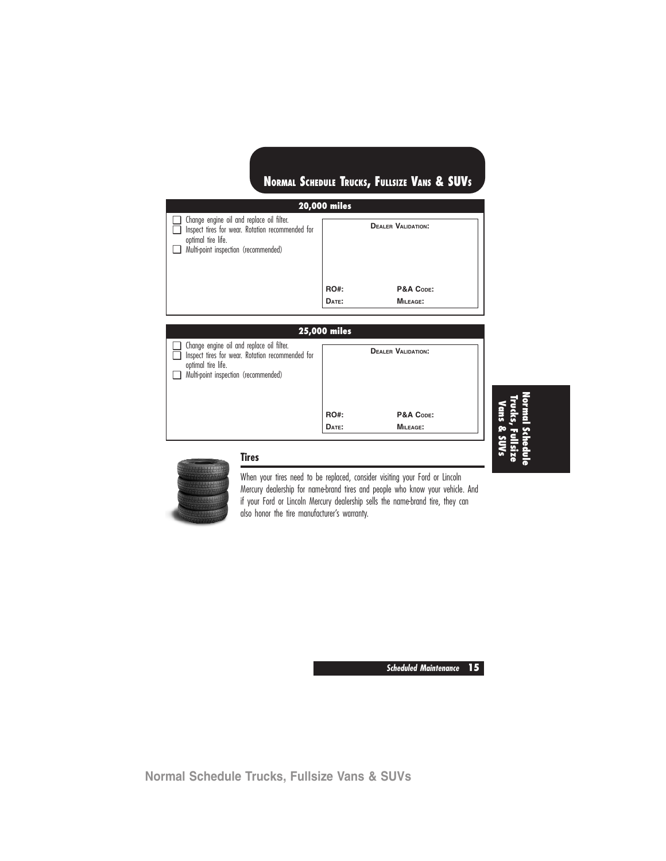| <b>20,000 miles</b>                                                                                                                                                |                      |                                                           |  |  |
|--------------------------------------------------------------------------------------------------------------------------------------------------------------------|----------------------|-----------------------------------------------------------|--|--|
| $\Box$ Change engine oil and replace oil filter.<br>Inspect tires for wear. Rotation recommended for<br>optimal tire life.<br>Multi-point inspection (recommended) | <b>RO#:</b><br>DATE: | <b>DEALER VALIDATION:</b><br>P&A CODE:<br><b>MILEAGE:</b> |  |  |
|                                                                                                                                                                    |                      |                                                           |  |  |

### **25,000 miles** ❑ Change engine oil and replace oil filter. □ Inspect tires for wear. Rotation recommended for optimal tire life. ❑ Multi-point inspection (recommended) **DEALER VALIDATION:** RO#: P&A Code: **DATE: MILEAGE:**

# **NormalSchedule Trucks, Fullsize Vans & SUVs**



### **Tires**

When your tires need to be replaced, consider visiting your Ford or Lincoln Mercury dealership for name-brand tires and people who know your vehicle. And if your Ford or Lincoln Mercury dealership sells the name-brand tire, they can also honor the tire manufacturer's warranty.

**Scheduled Maintenance 15**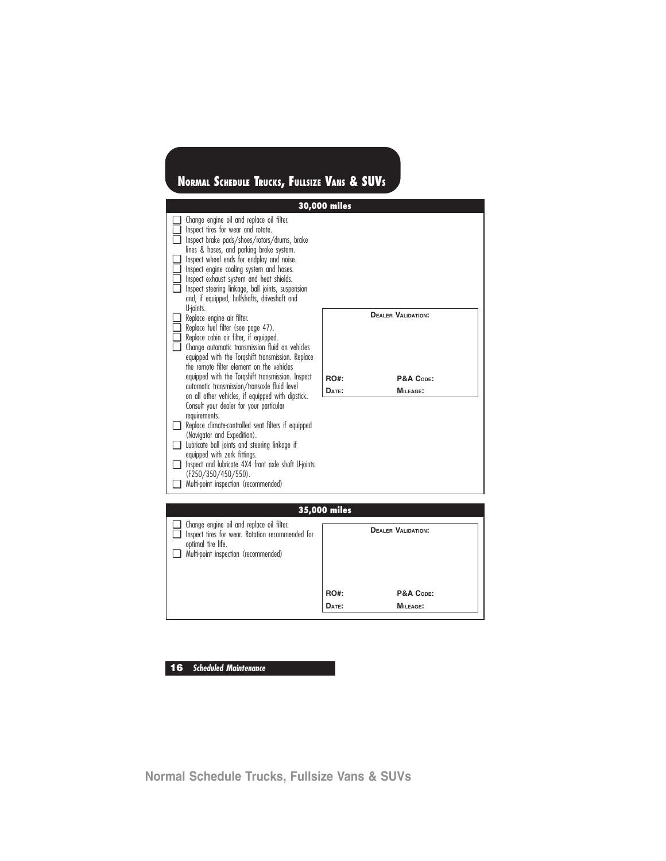

**DATE: MILEAGE:**

**16 Scheduled Maintenance**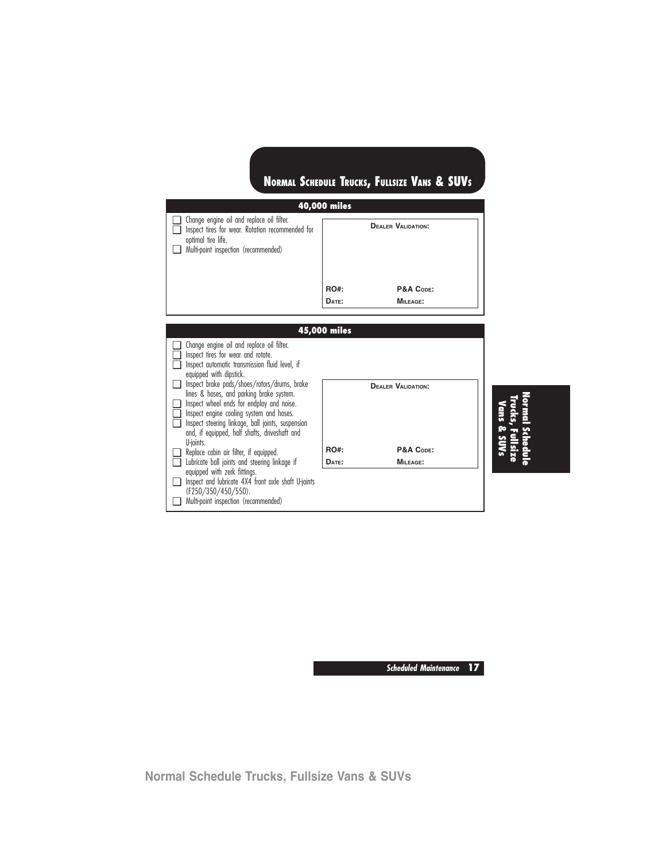| 40,000 miles                                                                                                                                                |                      |                           |  |  |
|-------------------------------------------------------------------------------------------------------------------------------------------------------------|----------------------|---------------------------|--|--|
| Change engine oil and replace oil filter.<br>Inspect tires for wear. Rotation recommended for<br>optimal tire life.<br>Multi-point inspection (recommended) |                      | <b>DEALER VALIDATION:</b> |  |  |
|                                                                                                                                                             | <b>RO#:</b><br>DATE: | P&A CODE:<br>MILEAGE:     |  |  |



**Normal Schedule**

**Scheduled Maintenance 17**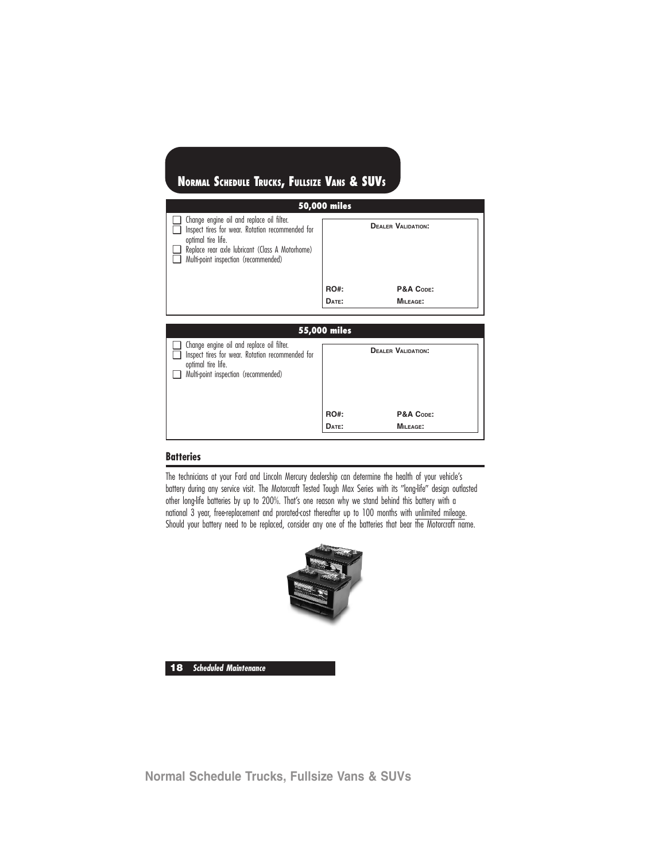| 50,000 miles                                                                                                                                                                                                   |             |                           |  |  |
|----------------------------------------------------------------------------------------------------------------------------------------------------------------------------------------------------------------|-------------|---------------------------|--|--|
| Change engine oil and replace oil filter.<br>Inspect tires for wear. Rotation recommended for<br>optimal tire life.<br>Replace rear axle lubricant (Class A Motorhome)<br>Multi-point inspection (recommended) |             | <b>DEALER VALIDATION:</b> |  |  |
|                                                                                                                                                                                                                | <b>RO#:</b> | P&A CODE:                 |  |  |
|                                                                                                                                                                                                                | DATE:       | MILEAGE:                  |  |  |
|                                                                                                                                                                                                                |             |                           |  |  |

| 55,000 miles                                                                                                                                                |             |                                        |  |
|-------------------------------------------------------------------------------------------------------------------------------------------------------------|-------------|----------------------------------------|--|
| Change engine oil and replace oil filter.<br>Inspect tires for wear. Rotation recommended for<br>optimal tire life.<br>Multi-point inspection (recommended) | <b>RO#:</b> | <b>DEALER VALIDATION:</b><br>P&A CODE: |  |
|                                                                                                                                                             | DATE:       | MILEAGE:                               |  |

### **Batteries**

The technicians at your Ford and Lincoln Mercury dealership can determine the health of your vehicle's battery during any service visit. The Motorcraft Tested Tough Max Series with its "long-life" design outlasted other long-life batteries by up to 200%. That's one reason why we stand behind this battery with a national 3 year, free-replacement and prorated-cost thereafter up to 100 months with unlimited mileage. Should your battery need to be replaced, consider any one of the batteries that bear the Motorcraft name.



**18 Scheduled Maintenance**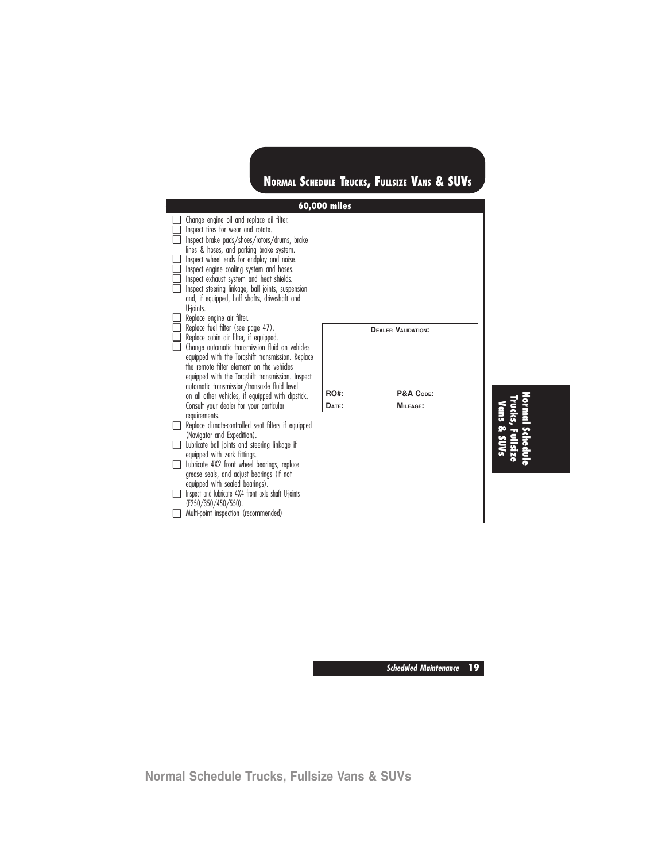| 60,000 miles                                                                                                                                                                                                                                                                                                                                                                                                                                                                               |                                                                            |  |  |  |  |
|--------------------------------------------------------------------------------------------------------------------------------------------------------------------------------------------------------------------------------------------------------------------------------------------------------------------------------------------------------------------------------------------------------------------------------------------------------------------------------------------|----------------------------------------------------------------------------|--|--|--|--|
| Change engine oil and replace oil filter.<br>Inspect tires for wear and rotate.<br>Inspect brake pads/shoes/rotors/drums, brake<br>□<br>lines & hoses, and parking brake system.<br>Inspect wheel ends for endplay and noise.<br>□<br>Inspect engine cooling system and hoses.<br>□<br>Inspect exhaust system and heat shields.<br>◻<br>Inspect steering linkage, ball joints, suspension<br>∩<br>and, if equipped, half shafts, driveshaft and<br>U-ioints.<br>Replace engine air filter. |                                                                            |  |  |  |  |
| Replace fuel filter (see page 47).<br>Replace cabin air filter, if equipped.<br>Change automatic transmission fluid on vehicles<br>□<br>equipped with the Torgshift transmission. Replace<br>the remote filter element on the vehicles<br>equipped with the Torgshift transmission. Inspect<br>automatic transmission/transaxle fluid level<br>on all other vehicles, if equipped with dipstick.<br>Consult your dealer for your particular                                                | <b>DEALER VALIDATION:</b><br><b>RO#:</b><br>P&A CODE:<br>MILEAGE:<br>DATE: |  |  |  |  |
| requirements.<br>Replace climate-controlled seat filters if equipped<br>(Navigator and Expedition).<br>Lubricate ball joints and steering linkage if<br>equipped with zerk fittings.<br>Lubricate 4X2 front wheel bearings, replace<br>ப<br>grease seals, and adjust bearings (if not<br>equipped with sealed bearings).<br>Inspect and lubricate 4X4 front axle shaft U-joints<br>(F250/350/450/550).<br>Multi-point inspection (recommended)                                             |                                                                            |  |  |  |  |

**Normal Schedule Trucks, Fullsize Vans & SUVs**

**Scheduled Maintenance 19**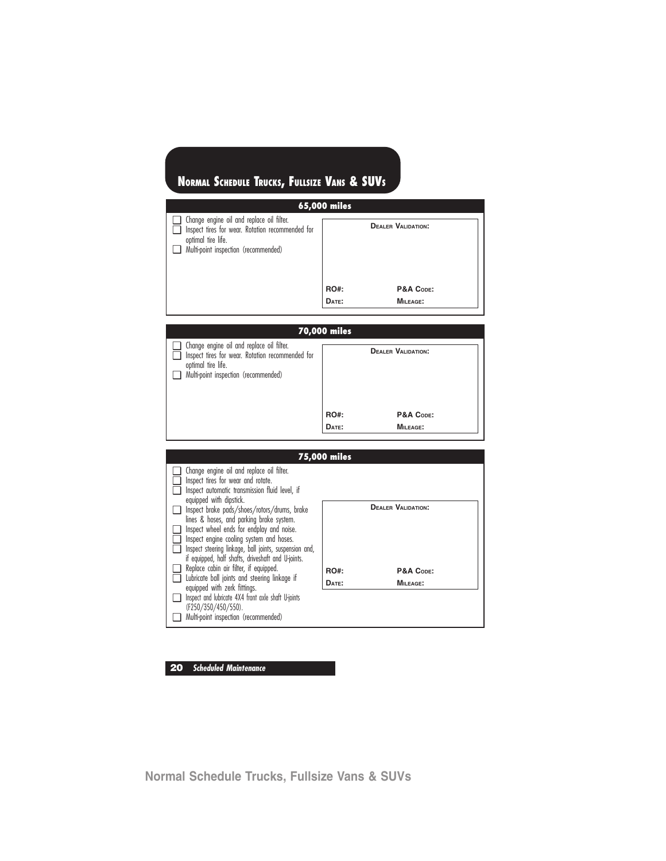| 65,000 miles                                                                                                                                                |             |                           |  |
|-------------------------------------------------------------------------------------------------------------------------------------------------------------|-------------|---------------------------|--|
| Change engine oil and replace oil filter.<br>Inspect tires for wear. Rotation recommended for<br>optimal tire life.<br>Multi-point inspection (recommended) |             | <b>DEALER VALIDATION:</b> |  |
|                                                                                                                                                             | <b>RO#:</b> | P&A CODE:                 |  |
|                                                                                                                                                             | DATE:       | MILEAGE:                  |  |

## **70,000 miles** ❑ Change engine oil and replace oil filter. □ Inspect tires for wear. Rotation recommended for optimal tire life. ❑ Multi-point inspection (recommended) **DEALER VALIDATION:** RO#: P&A Code: **DATE: MILEAGE:**

|                                                                                                                                                 | 75,000 miles |                           |
|-------------------------------------------------------------------------------------------------------------------------------------------------|--------------|---------------------------|
| Change engine oil and replace oil filter.<br>Inspect tires for wear and rotate.<br>Inspect automatic transmission fluid level, if               |              |                           |
| equipped with dipstick.<br>Inspect brake pads/shoes/rotors/drums, brake<br>lines & hoses, and parking brake system.                             |              | <b>DEALER VALIDATION:</b> |
| Inspect wheel ends for endplay and noise.<br>Inspect engine cooling system and hoses.<br>Inspect steering linkage, ball joints, suspension and, |              |                           |
| if equipped, half shafts, driveshaft and U-joints.<br>Replace cabin air filter, if equipped.                                                    | <b>RO#:</b>  | P&A CODE:                 |
| Lubricate ball joints and steering linkage if<br>equipped with zerk fittings.                                                                   | DATE:        | <b>MILEAGE:</b>           |
| Inspect and lubricate 4X4 front axle shaft U-joints<br>(F250/350/450/550).                                                                      |              |                           |
| Multi-point inspection (recommended)                                                                                                            |              |                           |

### **20 Scheduled Maintenance**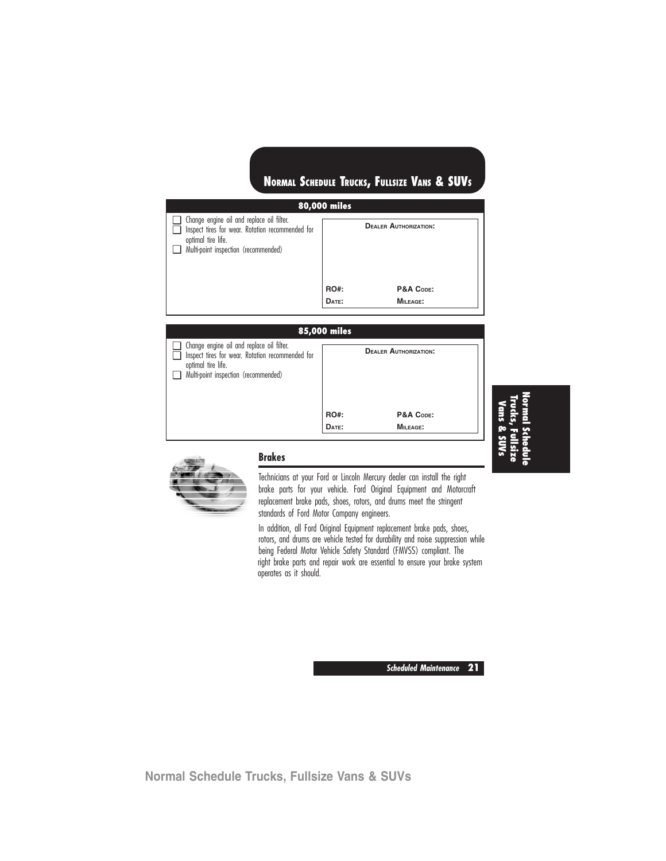| 80,000 miles                                                                                                                                                       |             |                              |  |  |
|--------------------------------------------------------------------------------------------------------------------------------------------------------------------|-------------|------------------------------|--|--|
| $\Box$ Change engine oil and replace oil filter.<br>Inspect tires for wear. Rotation recommended for<br>optimal tire life.<br>Multi-point inspection (recommended) |             | <b>DEALER AUTHORIZATION:</b> |  |  |
|                                                                                                                                                                    | <b>RO#:</b> | P&A CODE:                    |  |  |
|                                                                                                                                                                    | DATE:       | MILEAGE:                     |  |  |
|                                                                                                                                                                    |             |                              |  |  |

#### **85,000 miles**

| n | $\Box$ Change engine oil and replace oil filter.<br>Inspect tires for wear. Rotation recommended for<br>optimal tire life.<br>Multi-point inspection (recommended) |             | <b>DEALER AUTHORIZATION:</b> |  |
|---|--------------------------------------------------------------------------------------------------------------------------------------------------------------------|-------------|------------------------------|--|
|   |                                                                                                                                                                    | <b>RO#:</b> | P&A CODE:                    |  |
|   |                                                                                                                                                                    | DATE:       | <b>MILEAGE:</b>              |  |

### **NormalSchedule Trucks,Fullsize Vans & SUVs**



### **Brakes**

Technicians at your Ford or Lincoln Mercury dealer can install the right brake parts for your vehicle. Ford Original Equipment and Motorcraft replacement brake pads, shoes, rotors, and drums meet the stringent standards of Ford Motor Company engineers.

In addition, all Ford Original Equipment replacement brake pads, shoes, rotors, and drums are vehicle tested for durability and noise suppression while being Federal Motor Vehicle Safety Standard (FMVSS) compliant. The right brake parts and repair work are essential to ensure your brake system operates as it should.

**Scheduled Maintenance 21**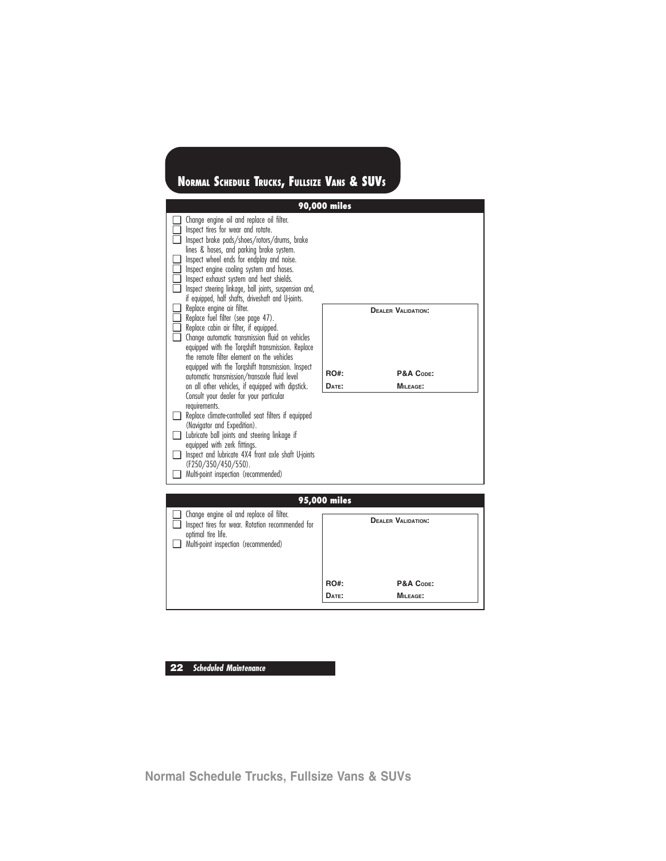

**RO#: P&A CODE: DATE: MILEAGE:**

**22 Scheduled Maintenance**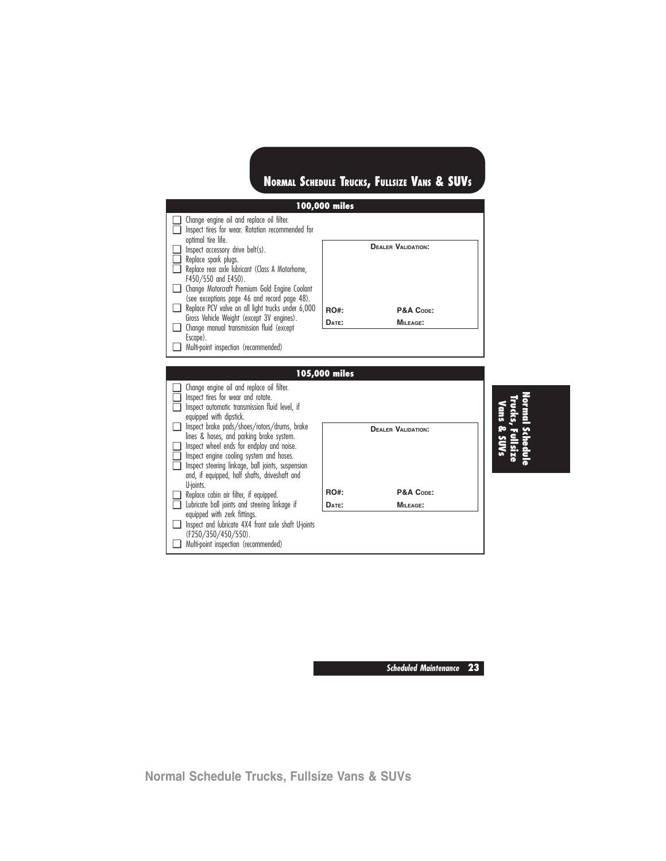

**Scheduled Maintenance 23**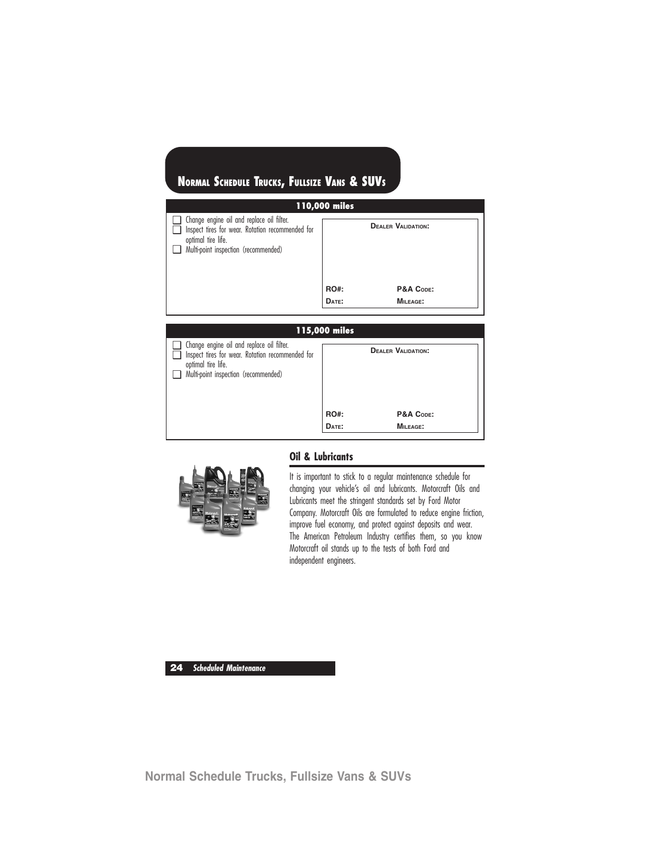| 110,000 miles                                                                                                                                               |             |                           |  |  |
|-------------------------------------------------------------------------------------------------------------------------------------------------------------|-------------|---------------------------|--|--|
| Change engine oil and replace oil filter.<br>Inspect tires for wear. Rotation recommended for<br>optimal tire life.<br>Multi-point inspection (recommended) |             | <b>DEALER VALIDATION:</b> |  |  |
|                                                                                                                                                             | <b>RO#:</b> | P&A CODE:                 |  |  |
|                                                                                                                                                             | DATE:       | MILEAGE:                  |  |  |
|                                                                                                                                                             |             |                           |  |  |

### **115,000 miles** ❑ Change engine oil and replace oil filter. □ Inspect tires for wear. Rotation recommended for optimal tire life. ❑ Multi-point inspection (recommended) **DEALER VALIDATION:** RO#: P&A Code: **DATE: MILEAGE:**



### **Oil & Lubricants**

It is important to stick to a regular maintenance schedule for changing your vehicle's oil and lubricants. Motorcraft Oils and Lubricants meet the stringent standards set by Ford Motor Company. Motorcraft Oils are formulated to reduce engine friction, improve fuel economy, and protect against deposits and wear. The American Petroleum Industry certifies them, so you know Motorcraft oil stands up to the tests of both Ford and independent engineers.

**24 Scheduled Maintenance**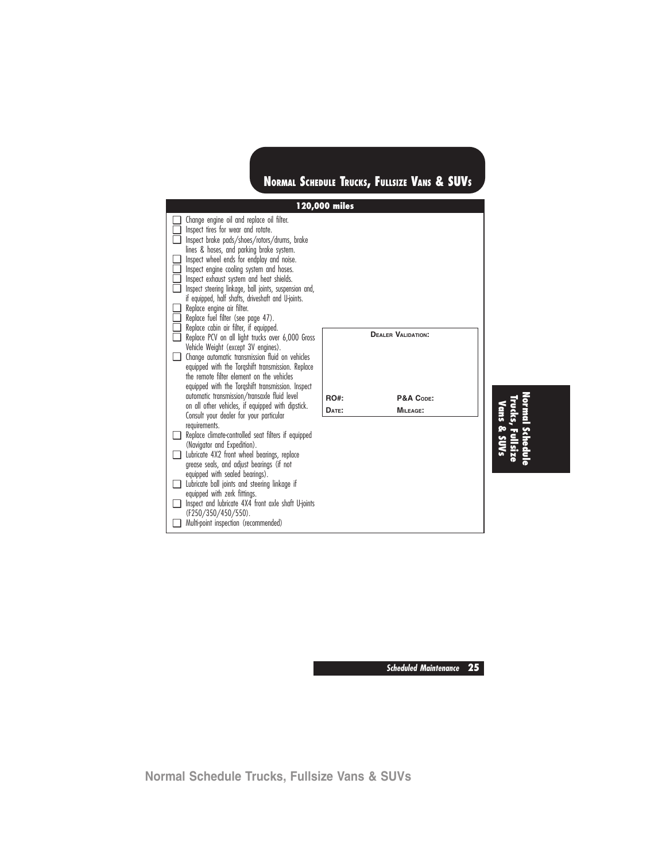| 120,000 miles |                                                                                                                                                                                                                                                                                                                                                                                                                                                                                                      |                      |                                                    |  |
|---------------|------------------------------------------------------------------------------------------------------------------------------------------------------------------------------------------------------------------------------------------------------------------------------------------------------------------------------------------------------------------------------------------------------------------------------------------------------------------------------------------------------|----------------------|----------------------------------------------------|--|
| □<br>□.       | Change engine oil and replace oil filter.<br>Inspect tires for wear and rotate.<br>Inspect brake pads/shoes/rotors/drums, brake<br>lines & hoses, and parking brake system.<br>Inspect wheel ends for endplay and noise.<br>Inspect engine cooling system and hoses.<br>Inspect exhaust system and heat shields.<br>Inspect steering linkage, ball joints, suspension and,<br>if equipped, half shafts, driveshaft and U-joints.<br>Replace engine air filter.<br>Replace fuel filter (see page 47). |                      |                                                    |  |
| n.<br>- 1     | Replace cabin air filter, if equipped.<br>Replace PCV on all light trucks over 6,000 Gross<br>Vehicle Weight (except 3V engines).<br>Change automatic transmission fluid on vehicles<br>equipped with the Torgshift transmission. Replace<br>the remote filter element on the vehicles<br>equipped with the Torgshift transmission. Inspect<br>automatic transmission/transaxle fluid level<br>on all other vehicles, if equipped with dipstick.<br>Consult your dealer for your particular          | <b>RO#:</b><br>DATE: | <b>DEALER VALIDATION:</b><br>P&A CODE:<br>MILEAGE: |  |
|               | requirements.<br>Replace climate-controlled seat filters if equipped<br>(Navigator and Expedition).<br>Lubricate 4X2 front wheel bearings, replace<br>grease seals, and adjust bearings (if not<br>equipped with sealed bearings).<br>Lubricate ball joints and steering linkage if<br>equipped with zerk fittings.<br>Inspect and lubricate 4X4 front axle shaft U-joints<br>(F250/350/450/550).<br>Multi-point inspection (recommended)                                                            |                      |                                                    |  |

**Normal Schedule Trucks, Fullsize Vans & SUVs**

**Scheduled Maintenance 25**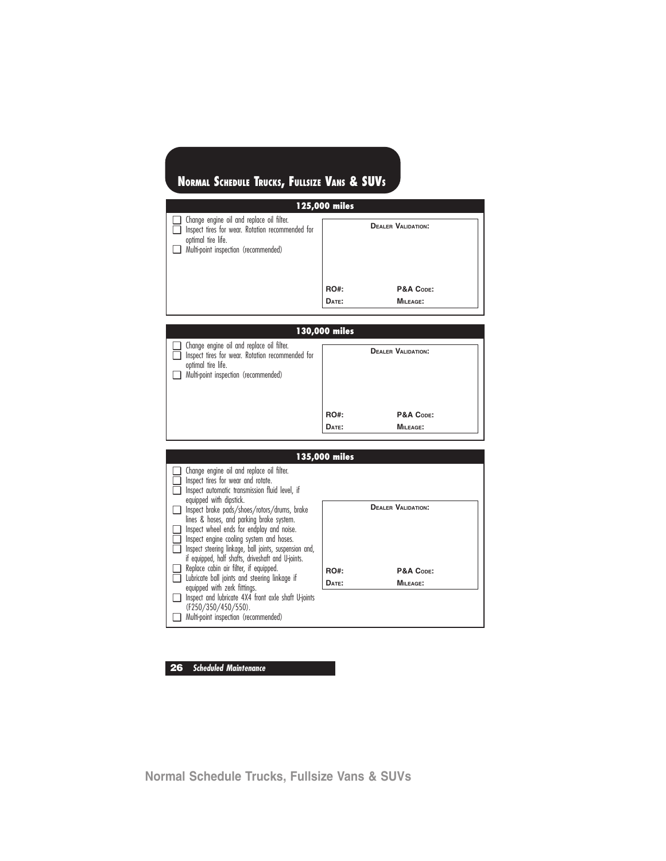| 125,000 miles                                                                                                                                               |             |                           |  |  |
|-------------------------------------------------------------------------------------------------------------------------------------------------------------|-------------|---------------------------|--|--|
| Change engine oil and replace oil filter.<br>Inspect tires for wear. Rotation recommended for<br>optimal tire life.<br>Multi-point inspection (recommended) |             | <b>DEALER VALIDATION:</b> |  |  |
|                                                                                                                                                             | <b>RO#:</b> | P&A CODE:                 |  |  |
|                                                                                                                                                             | DATE:       | <b>MILEAGE:</b>           |  |  |

|   | 130,000 miles                                                                                                                                                      |             |                           |  |  |
|---|--------------------------------------------------------------------------------------------------------------------------------------------------------------------|-------------|---------------------------|--|--|
| □ | $\Box$ Change engine oil and replace oil filter.<br>Inspect tires for wear. Rotation recommended for<br>optimal tire life.<br>Multi-point inspection (recommended) |             | <b>DEALER VALIDATION:</b> |  |  |
|   |                                                                                                                                                                    | <b>RO#:</b> | P&A CODE:                 |  |  |
|   |                                                                                                                                                                    | DATE:       | MILEAGE:                  |  |  |

|                                                                                                                                                                                                                                                          | 135,000 miles |                           |
|----------------------------------------------------------------------------------------------------------------------------------------------------------------------------------------------------------------------------------------------------------|---------------|---------------------------|
| Change engine oil and replace oil filter.<br>Inspect tires for wear and rotate.<br>Inspect automatic transmission fluid level, if<br>equipped with dipstick.<br>Inspect brake pads/shoes/rotors/drums, brake<br>lines & hoses, and parking brake system. |               | <b>DEALER VALIDATION:</b> |
| Inspect wheel ends for endplay and noise.<br>Inspect engine cooling system and hoses.<br>Inspect steering linkage, ball joints, suspension and,<br>if equipped, half shafts, driveshaft and U-joints.                                                    |               |                           |
| Replace cabin air filter, if equipped.                                                                                                                                                                                                                   | <b>RO#:</b>   | P&A CODE:                 |
| Lubricate ball joints and steering linkage if<br>equipped with zerk fittings.                                                                                                                                                                            | DATE:         | <b>MILEAGE:</b>           |
| Inspect and lubricate 4X4 front axle shaft U-joints<br>(F250/350/450/550).                                                                                                                                                                               |               |                           |
| Multi-point inspection (recommended)                                                                                                                                                                                                                     |               |                           |

### **26 Scheduled Maintenance**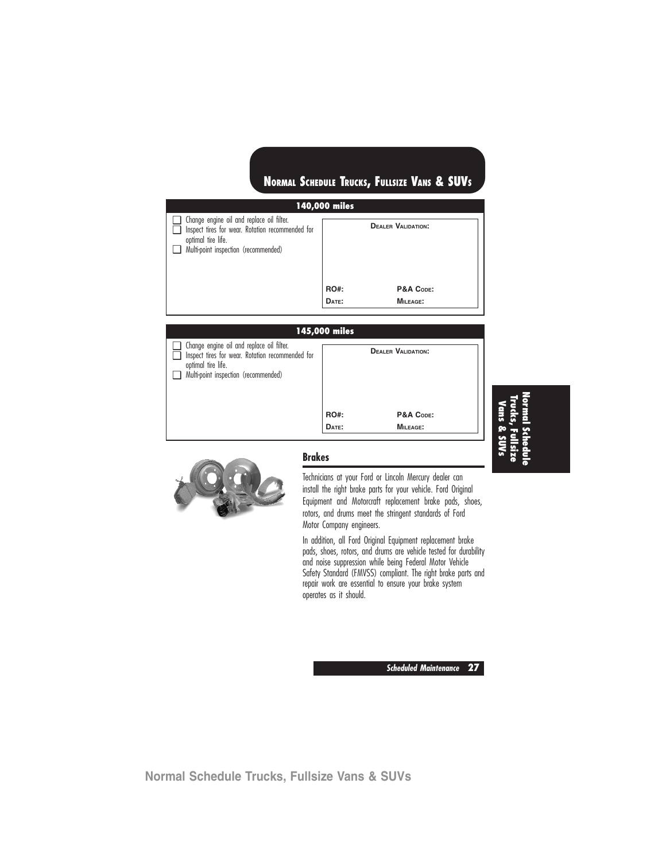| 140,000 miles                                                                                                                                                      |             |                           |  |
|--------------------------------------------------------------------------------------------------------------------------------------------------------------------|-------------|---------------------------|--|
| $\Box$ Change engine oil and replace oil filter.<br>Inspect tires for wear. Rotation recommended for<br>optimal tire life.<br>Multi-point inspection (recommended) |             | <b>DEALER VALIDATION:</b> |  |
|                                                                                                                                                                    | <b>RO#:</b> | P&A CODE:                 |  |
|                                                                                                                                                                    | DATE:       | MILEAGE:                  |  |
|                                                                                                                                                                    |             |                           |  |

### **145,000 miles**

| $\Box$ | $\Box$ Change engine oil and replace oil filter.<br>Inspect tires for wear. Rotation recommended for<br>optimal tire life.<br>Multi-point inspection (recommended) |             | <b>DEALER VALIDATION:</b> |
|--------|--------------------------------------------------------------------------------------------------------------------------------------------------------------------|-------------|---------------------------|
|        |                                                                                                                                                                    | <b>RO#:</b> | P&A CODE:                 |
|        |                                                                                                                                                                    | DATE:       | MILEAGE:                  |



### **Brakes**

Technicians at your Ford or Lincoln Mercury dealer can install the right brake parts for your vehicle. Ford Original Equipment and Motorcraft replacement brake pads, shoes, rotors, and drums meet the stringent standards of Ford Motor Company engineers.

In addition, all Ford Original Equipment replacement brake pads, shoes, rotors, and drums are vehicle tested for durability and noise suppression while being Federal Motor Vehicle Safety Standard (FMVSS) compliant. The right brake parts and repair work are essential to ensure your brake system operates as it should.

**NormalSchedule Trucks,Fullsize Vans & SUVs**

**Scheduled Maintenance 27**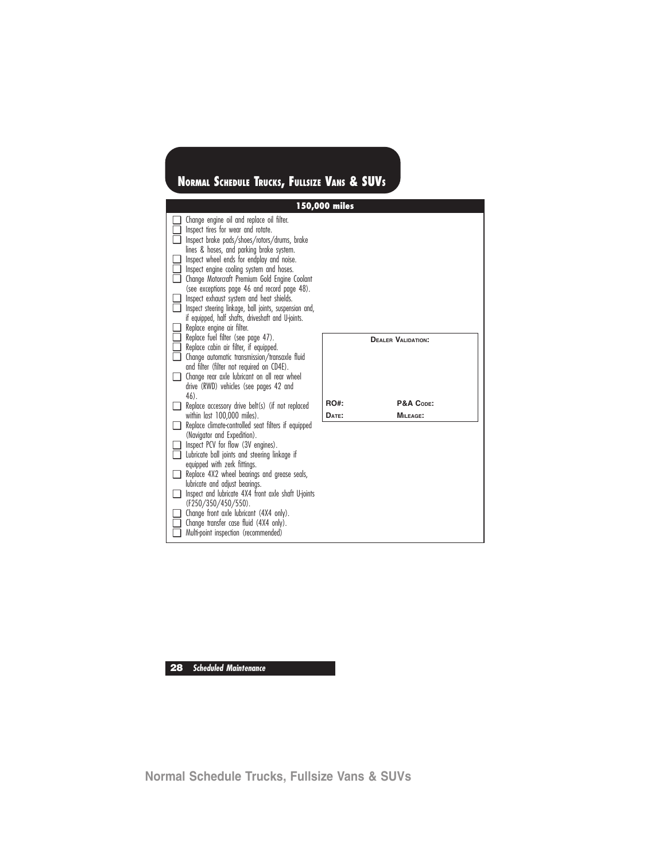|                                       | 150,000 miles                                                                                                                                                                                                                                                                                                                                                                                                                                                                                                                                                   |             |                           |  |  |
|---------------------------------------|-----------------------------------------------------------------------------------------------------------------------------------------------------------------------------------------------------------------------------------------------------------------------------------------------------------------------------------------------------------------------------------------------------------------------------------------------------------------------------------------------------------------------------------------------------------------|-------------|---------------------------|--|--|
| □<br>∣ 1<br>II.<br>n.                 | Change engine oil and replace oil filter.<br>Inspect tires for wear and rotate.<br>Inspect brake pads/shoes/rotors/drums, brake<br>lines & hoses, and parking brake system.<br>Inspect wheel ends for endplay and noise.<br>Inspect engine cooling system and hoses.<br>Change Motorcraft Premium Gold Engine Coolant<br>(see exceptions page 46 and record page 48).<br>Inspect exhaust system and heat shields.<br>Inspect steering linkage, ball joints, suspension and,<br>if equipped, half shafts, driveshaft and U-joints.<br>Replace engine air filter. |             |                           |  |  |
| $\Box$<br>□<br>□.<br>Q.               | Replace fuel filter (see page 47).<br>Replace cabin air filter, if equipped.<br>Change automatic transmission/transaxle fluid<br>and filter (filter not required on CD4E).<br>Change rear axle lubricant on all rear wheel<br>drive (RWD) vehicles (see pages 42 and<br>46).                                                                                                                                                                                                                                                                                    |             | <b>DEALER VALIDATION:</b> |  |  |
|                                       | Replace accessory drive belt(s) (if not replaced                                                                                                                                                                                                                                                                                                                                                                                                                                                                                                                | <b>RO#:</b> | P&A CODE:                 |  |  |
| $\Box$<br>∣ 1<br>n.<br>$\blacksquare$ | within last 100,000 miles).<br>Replace climate-controlled seat filters if equipped<br>(Navigator and Expedition).<br>Inspect PCV for flow (3V engines).<br>Lubricate ball joints and steering linkage if<br>equipped with zerk fittings.<br>Replace 4X2 wheel bearings and grease seals,<br>lubricate and adjust bearings.<br>Inspect and lubricate 4X4 front axle shaft U-joints<br>(F250/350/450/550).<br>Change front axle lubricant (4X4 only).<br>Change transfer case fluid (4X4 only).<br>Multi-point inspection (recommended)                           | DATE:       | <b>MILEAGE:</b>           |  |  |

**28 Scheduled Maintenance**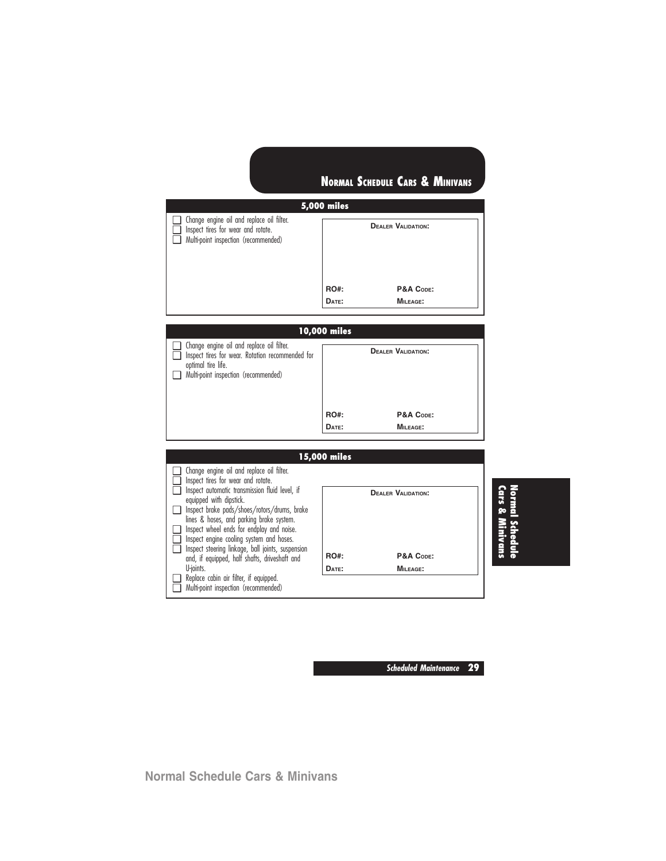|         | <b>5,000 miles</b>                                                                                                      |                      |                                                           |  |  |
|---------|-------------------------------------------------------------------------------------------------------------------------|----------------------|-----------------------------------------------------------|--|--|
| П.<br>□ | Change engine oil and replace oil filter.<br>Inspect tires for wear and rotate.<br>Multi-point inspection (recommended) | <b>RO#:</b><br>DATE: | <b>DEALER VALIDATION:</b><br>P&A CODE:<br><b>MILEAGE:</b> |  |  |

### **10,000 miles**

| $\Box$ Change engine oil and replace oil filter.<br>Inspect tires for wear. Rotation recommended for<br>optimal tire life.<br>Multi-point inspection (recommended) |             | <b>DEALER VALIDATION:</b> |
|--------------------------------------------------------------------------------------------------------------------------------------------------------------------|-------------|---------------------------|
|                                                                                                                                                                    | <b>RO#:</b> | P&A CODE:                 |
|                                                                                                                                                                    | DATE:       | MILEAGE:                  |

**15,000 miles** ❑ Change engine oil and replace oil filter. □ Inspect tires for wear and rotate. □ Inspect automatic transmission fluid level, if equipped with dipstick. ❑ Inspect brake pads/shoes/rotors/drums, brake lines & hoses, and parking brake system. ❑ Inspect wheel ends for endplay and noise. □ Inspect engine cooling system and hoses. ❑ Inspect steering linkage, ball joints, suspension and, if equipped, half shafts, driveshaft and U-joints. ❑ Replace cabin air filter, if equipped. ❑ Multi-point inspection (recommended) **DEALER VALIDATION:** RO#: P&A Code: **DATE: MILEAGE: Cars &Normal Schedule Minivans**

**Scheduled Maintenance 29**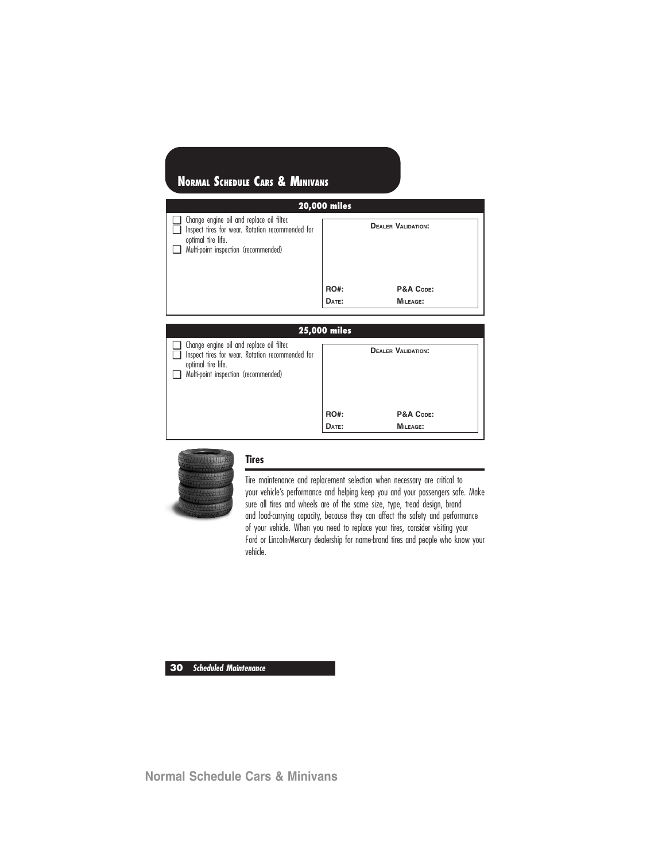| <b>20,000 miles</b>                                                                                                                                         |             |                           |  |  |  |
|-------------------------------------------------------------------------------------------------------------------------------------------------------------|-------------|---------------------------|--|--|--|
| Change engine oil and replace oil filter.<br>Inspect tires for wear. Rotation recommended for<br>optimal tire life.<br>Multi-point inspection (recommended) |             | <b>DEALER VALIDATION:</b> |  |  |  |
|                                                                                                                                                             | <b>RO#:</b> | P&A CODE:                 |  |  |  |
|                                                                                                                                                             | DATE:       | MILEAGE:                  |  |  |  |

### **25,000 miles** ❑ Change engine oil and replace oil filter. □ Inspect tires for wear. Rotation recommended for optimal tire life. ❑ Multi-point inspection (recommended) **DEALER VALIDATION:** RO#: P&A Code: **DATE: MILEAGE:**



### **Tires**

Tire maintenance and replacement selection when necessary are critical to your vehicle's performance and helping keep you and your passengers safe. Make sure all tires and wheels are of the same size, type, tread design, brand and load-carrying capacity, because they can affect the safety and performance of your vehicle. When you need to replace your tires, consider visiting your Ford or Lincoln-Mercury dealership for name-brand tires and people who know your vehicle.

**30 Scheduled Maintenance**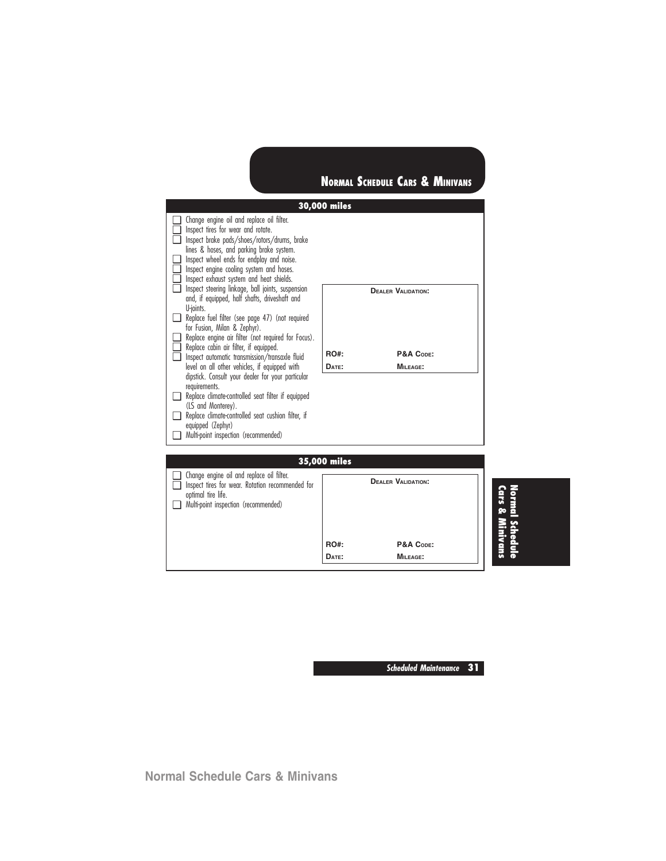|                                                                                                                                                                                                                                                                                                              | 30,000 miles |                           |                            |
|--------------------------------------------------------------------------------------------------------------------------------------------------------------------------------------------------------------------------------------------------------------------------------------------------------------|--------------|---------------------------|----------------------------|
| $\Box$ Change engine oil and replace oil filter.<br>$\Box$ Inspect tires for wear and rotate.<br>Inspect brake pads/shoes/rotors/drums, brake<br>lines & hoses, and parking brake system.<br>$\Box$ Inspect wheel ends for endplay and noise.<br>$\Box$ Inspect engine cooling system and hoses.             |              |                           |                            |
| Inspect exhaust system and heat shields.<br>$\Box$ Inspect steering linkage, ball joints, suspension<br>and, if equipped, half shafts, driveshaft and<br>U-joints.<br>Replace fuel filter (see page 47) (not required<br>for Fusion, Milan & Zephyr).<br>Replace engine air filter (not required for Focus). |              | <b>DEALER VALIDATION:</b> |                            |
| $\Box$ Replace cabin air filter, if equipped.<br>Inspect automatic transmission/transaxle fluid                                                                                                                                                                                                              | RO#:         | P&A CODE:                 |                            |
| level on all other vehicles, if equipped with                                                                                                                                                                                                                                                                | DATE:        | <b>MILEAGE:</b>           |                            |
| dipstick. Consult your dealer for your particular<br>requirements.<br>Replace climate-controlled seat filter if equipped<br>(LS and Monterey).<br>Replace climate-controlled seat cushion filter, if<br>equipped (Zephyr)<br>Multi-point inspection (recommended)                                            |              |                           |                            |
|                                                                                                                                                                                                                                                                                                              | 35,000 miles |                           |                            |
| $\Box$ Change engine oil and replace oil filter.<br>Sollen Inspect tires for wear. Rotation recommended for<br>optimal tire life.<br>Multi-point inspection (recommended)                                                                                                                                    |              | <b>DEALER VALIDATION:</b> | vormal Sche<br>Lars & Mini |
|                                                                                                                                                                                                                                                                                                              | <b>RO#:</b>  | P&A CODE:                 |                            |
|                                                                                                                                                                                                                                                                                                              | DATE:        | <b>MILEAGE:</b>           |                            |

**Scheduled Maintenance 31**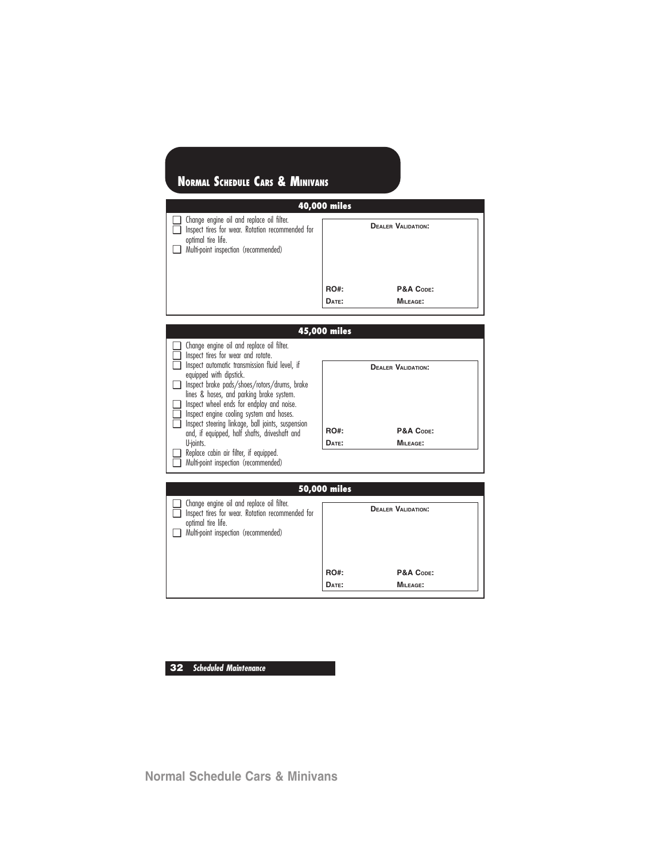| 40,000 miles                                                                                                                                                |             |                           |  |  |
|-------------------------------------------------------------------------------------------------------------------------------------------------------------|-------------|---------------------------|--|--|
| Change engine oil and replace oil filter.<br>Inspect tires for wear. Rotation recommended for<br>optimal tire life.<br>Multi-point inspection (recommended) |             | <b>DEALER VALIDATION:</b> |  |  |
|                                                                                                                                                             | <b>RO#:</b> | P&A CODE:                 |  |  |
|                                                                                                                                                             | DATE:       | MILEAGE:                  |  |  |

| 45,000 miles                                                                                                                                                                                                                                                                                                       |             |                           |  |  |
|--------------------------------------------------------------------------------------------------------------------------------------------------------------------------------------------------------------------------------------------------------------------------------------------------------------------|-------------|---------------------------|--|--|
| Change engine oil and replace oil filter.<br>Inspect tires for wear and rotate.<br>Inspect automatic transmission fluid level, if                                                                                                                                                                                  |             | <b>DEALER VALIDATION:</b> |  |  |
| equipped with dipstick.<br>Inspect brake pads/shoes/rotors/drums, brake<br>lines & hoses, and parking brake system.<br>Inspect wheel ends for endplay and noise.<br>Inspect engine cooling system and hoses.<br>Inspect steering linkage, ball joints, suspension<br>and, if equipped, half shafts, driveshaft and | <b>RO#:</b> | P&A CODE:                 |  |  |
| U-ioints.<br>Replace cabin air filter, if equipped.<br>Multi-point inspection (recommended)                                                                                                                                                                                                                        | DATE:       | <b>MILEAGE:</b>           |  |  |

| 50,000 miles                                                                                                                                                |             |                           |  |  |
|-------------------------------------------------------------------------------------------------------------------------------------------------------------|-------------|---------------------------|--|--|
| Change engine oil and replace oil filter.<br>Inspect tires for wear. Rotation recommended for<br>optimal tire life.<br>Multi-point inspection (recommended) |             | <b>DEALER VALIDATION:</b> |  |  |
|                                                                                                                                                             | <b>RO#:</b> | P&A CODE:                 |  |  |
|                                                                                                                                                             | DATE:       | MILEAGE:                  |  |  |
|                                                                                                                                                             |             |                           |  |  |

### **32 Scheduled Maintenance**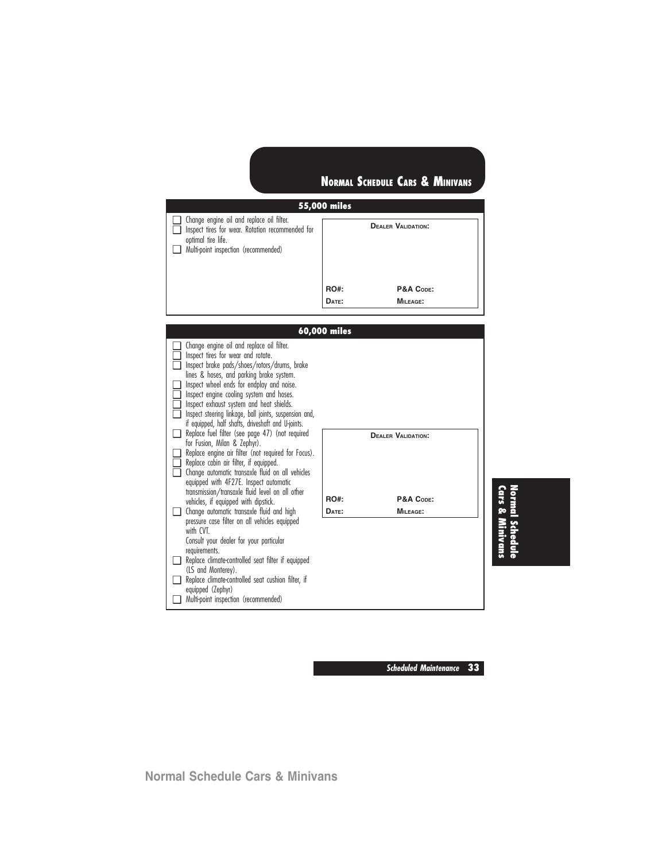**DATE: MILEAGE:**

### **55,000 miles** ❑ Change engine oil and replace oil filter. ❑ Inspect tires for wear. Rotation recommended for optimal tire life. ❑ Multi-point inspection (recommended) **DEALER VALIDATION: RO#: P&A CODE:**

|   |                                                                                            | 60,000 miles |                           |  |
|---|--------------------------------------------------------------------------------------------|--------------|---------------------------|--|
|   | Change engine oil and replace oil filter.                                                  |              |                           |  |
|   | Inspect tires for wear and rotate.                                                         |              |                           |  |
|   | Inspect brake pads/shoes/rotors/drums, brake<br>lines & hoses, and parking brake system.   |              |                           |  |
|   | Inspect wheel ends for endplay and noise.                                                  |              |                           |  |
|   | Inspect engine cooling system and hoses.                                                   |              |                           |  |
|   | Inspect exhaust system and heat shields.                                                   |              |                           |  |
| ⊓ | Inspect steering linkage, ball joints, suspension and,                                     |              |                           |  |
|   | if equipped, half shafts, driveshaft and U-joints.                                         |              |                           |  |
|   | Replace fuel filter (see page 47) (not required                                            |              | <b>DEALER VALIDATION:</b> |  |
|   | for Fusion, Milan & Zephyr).<br>Replace engine air filter (not required for Focus).        |              |                           |  |
|   | Replace cabin air filter, if equipped.                                                     |              |                           |  |
|   | Change automatic transaxle fluid on all vehicles                                           |              |                           |  |
|   | equipped with 4F27E. Inspect automatic                                                     |              |                           |  |
|   | transmission/transaxle fluid level on all other                                            | <b>RO#:</b>  | P&A CODE:                 |  |
|   | vehicles, if equipped with dipstick.                                                       |              |                           |  |
|   | Change automatic transaxle fluid and high<br>pressure case filter on all vehicles equipped | DATE:        | MILEAGE:                  |  |
|   | with CVT                                                                                   |              |                           |  |
|   | Consult your dealer for your particular                                                    |              |                           |  |
|   | requirements.                                                                              |              |                           |  |
|   | Replace climate-controlled seat filter if equipped                                         |              |                           |  |
|   | (LS and Monterey).                                                                         |              |                           |  |
|   | Replace climate-controlled seat cushion filter, if                                         |              |                           |  |
|   | equipped (Zephyr)                                                                          |              |                           |  |
|   | Multi-point inspection (recommended)                                                       |              |                           |  |

**Cars &Normal Schedule Minivans**

**Scheduled Maintenance 33**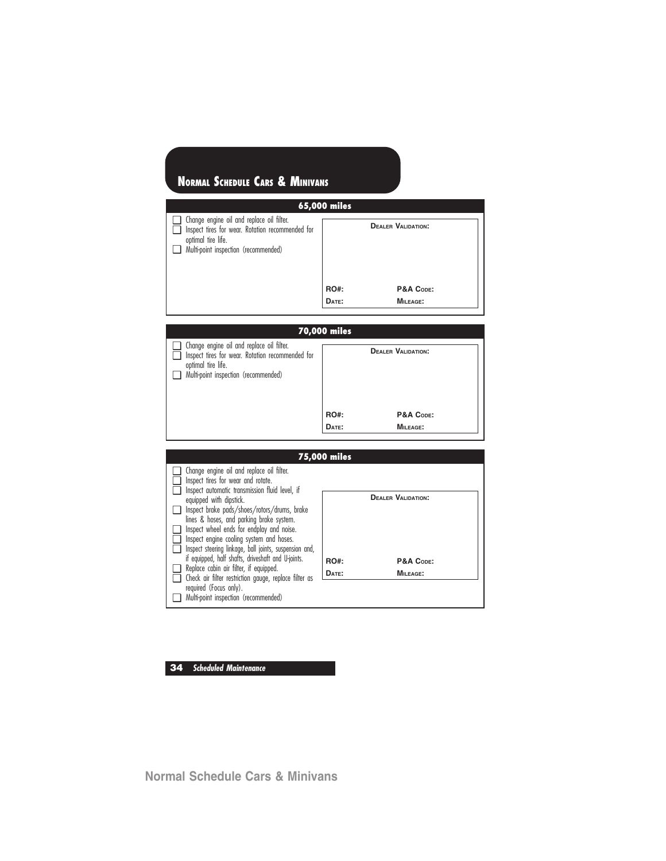| 65,000 miles                                                                                                                                                |             |                           |  |  |  |
|-------------------------------------------------------------------------------------------------------------------------------------------------------------|-------------|---------------------------|--|--|--|
| Change engine oil and replace oil filter.<br>Inspect tires for wear. Rotation recommended for<br>optimal tire life.<br>Multi-point inspection (recommended) |             | <b>DEALER VALIDATION:</b> |  |  |  |
|                                                                                                                                                             | <b>RO#:</b> | P&A CODE:                 |  |  |  |
|                                                                                                                                                             | DATE:       | MILEAGE:                  |  |  |  |

# **70,000 miles**

| $\Box$ Change engine oil and replace oil filter.<br>Inspect tires for wear. Rotation recommended for<br>optimal tire life.<br>Multi-point inspection (recommended) |             | <b>DEALER VALIDATION:</b> |
|--------------------------------------------------------------------------------------------------------------------------------------------------------------------|-------------|---------------------------|
|                                                                                                                                                                    | <b>RO#:</b> | P&A CODE:                 |
|                                                                                                                                                                    | DATE:       | MILEAGE:                  |

|                                                                                                                                   | 75,000 miles |                           |
|-----------------------------------------------------------------------------------------------------------------------------------|--------------|---------------------------|
| Change engine oil and replace oil filter.<br>Inspect tires for wear and rotate.<br>Inspect automatic transmission fluid level, if |              |                           |
| equipped with dipstick.                                                                                                           |              | <b>DEALER VALIDATION:</b> |
| Inspect brake pads/shoes/rotors/drums, brake<br>lines & hoses, and parking brake system.                                          |              |                           |
| Inspect wheel ends for endplay and noise.<br>Inspect engine cooling system and hoses.                                             |              |                           |
| Inspect steering linkage, ball joints, suspension and,                                                                            |              |                           |
| if equipped, half shafts, driveshaft and U-joints.                                                                                | <b>RO#:</b>  | P&A CODE:                 |
| Replace cabin air filter, if equipped.<br>Check air filter restriction gauge, replace filter as                                   | DATE:        | <b>MILEAGE:</b>           |
| required (Focus only).                                                                                                            |              |                           |
| Multi-point inspection (recommended)                                                                                              |              |                           |

### **34 Scheduled Maintenance**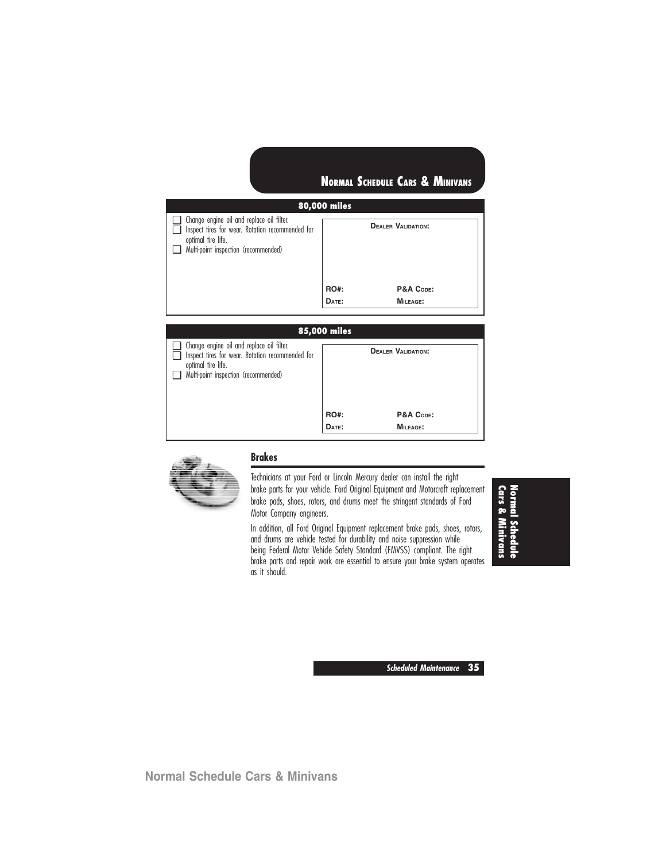### **80,000 miles**

| $\Box$ Change engine oil and replace oil filter.<br>Inspect tires for wear. Rotation recommended for<br>optimal tire life.<br>Multi-point inspection (recommended) |             | <b>DEALER VALIDATION:</b> |
|--------------------------------------------------------------------------------------------------------------------------------------------------------------------|-------------|---------------------------|
|                                                                                                                                                                    | <b>RO#:</b> | P&A CODE:                 |
|                                                                                                                                                                    | DATE:       | MILEAGE:                  |

### **85,000 miles** ❑ Change engine oil and replace oil filter. □ Inspect tires for wear. Rotation recommended for optimal tire life. ❑ Multi-point inspection (recommended) **DEALER VALIDATION:** RO#: P&A Code: **DATE: MILEAGE:**



### **Brakes**

Technicians at your Ford or Lincoln Mercury dealer can install the right brake parts for your vehicle. Ford Original Equipment and Motorcraft replacement brake pads, shoes, rotors, and drums meet the stringent standards of Ford Motor Company engineers.

In addition, all Ford Original Equipment replacement brake pads, shoes, rotors, and drums are vehicle tested for durability and noise suppression while being Federal Motor Vehicle Safety Standard (FMVSS) compliant. The right brake parts and repair work are essential to ensure your brake system operates as it should.

**Cars &Normal Schedule Minivans**

**Scheduled Maintenance 35**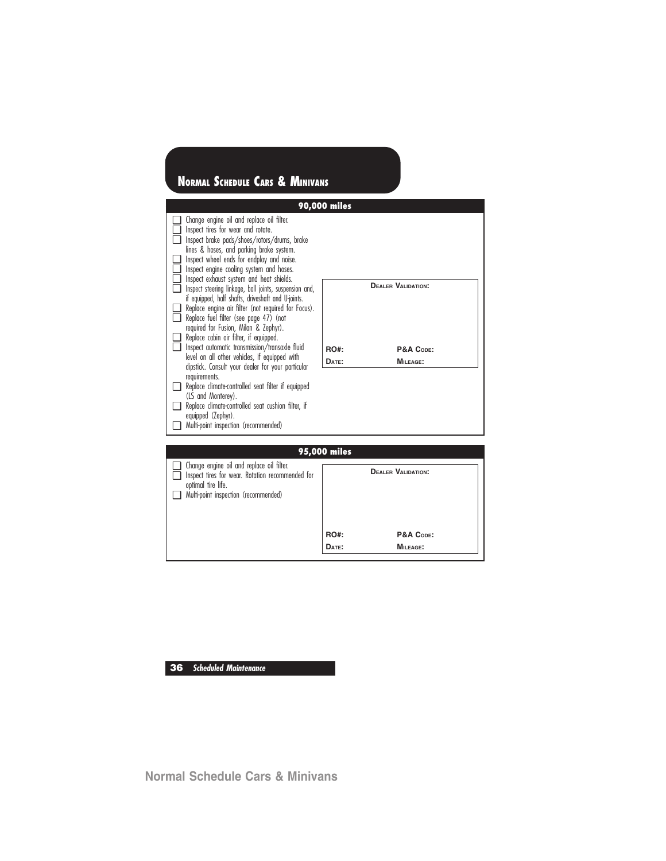|                                                                                                                                                                                                                                                                                                                                                                                                                                                                                                                                                                                                                                                                                                                                                                                                                                                                                                                                                                                                                   | 90,000 miles  |                                                    |
|-------------------------------------------------------------------------------------------------------------------------------------------------------------------------------------------------------------------------------------------------------------------------------------------------------------------------------------------------------------------------------------------------------------------------------------------------------------------------------------------------------------------------------------------------------------------------------------------------------------------------------------------------------------------------------------------------------------------------------------------------------------------------------------------------------------------------------------------------------------------------------------------------------------------------------------------------------------------------------------------------------------------|---------------|----------------------------------------------------|
| Change engine oil and replace oil filter.<br>Inspect tires for wear and rotate.<br>Inspect brake pads/shoes/rotors/drums, brake<br>lines & hoses, and parking brake system.<br>Inspect wheel ends for endplay and noise.<br>H<br>Inspect engine cooling system and hoses.<br>ப<br>Inspect exhaust system and heat shields.<br>Inspect steering linkage, ball joints, suspension and,<br>if equipped, half shafts, driveshaft and U-joints.<br>Replace engine air filter (not required for Focus).<br>Replace fuel filter (see page 47) (not<br>n<br>required for Fusion, Milan & Zephyr).<br>Replace cabin air filter, if equipped.<br>Inspect automatic transmission/transaxle fluid<br>n<br>level on all other vehicles, if equipped with<br>dipstick. Consult your dealer for your particular<br>requirements.<br>Replace climate-controlled seat filter if equipped<br>(LS and Monterey).<br>Replace climate-controlled seat cushion filter, if<br>equipped (Zephyr).<br>Multi-point inspection (recommended) | RO#:<br>DATE: | <b>DEALER VALIDATION:</b><br>P&A CODE:<br>MILEAGE: |
| Change engine oil and replace oil filter.                                                                                                                                                                                                                                                                                                                                                                                                                                                                                                                                                                                                                                                                                                                                                                                                                                                                                                                                                                         | 95,000 miles  |                                                    |
| Inspect tires for wear. Rotation recommended for<br>optimal tire life.<br>Multi-point inspection (recommended)                                                                                                                                                                                                                                                                                                                                                                                                                                                                                                                                                                                                                                                                                                                                                                                                                                                                                                    |               | <b>DEALER VALIDATION:</b>                          |
|                                                                                                                                                                                                                                                                                                                                                                                                                                                                                                                                                                                                                                                                                                                                                                                                                                                                                                                                                                                                                   | <b>RO#:</b>   | P&A CODE:                                          |
|                                                                                                                                                                                                                                                                                                                                                                                                                                                                                                                                                                                                                                                                                                                                                                                                                                                                                                                                                                                                                   | DATE:         | MILEAGE:                                           |

**36 Scheduled Maintenance**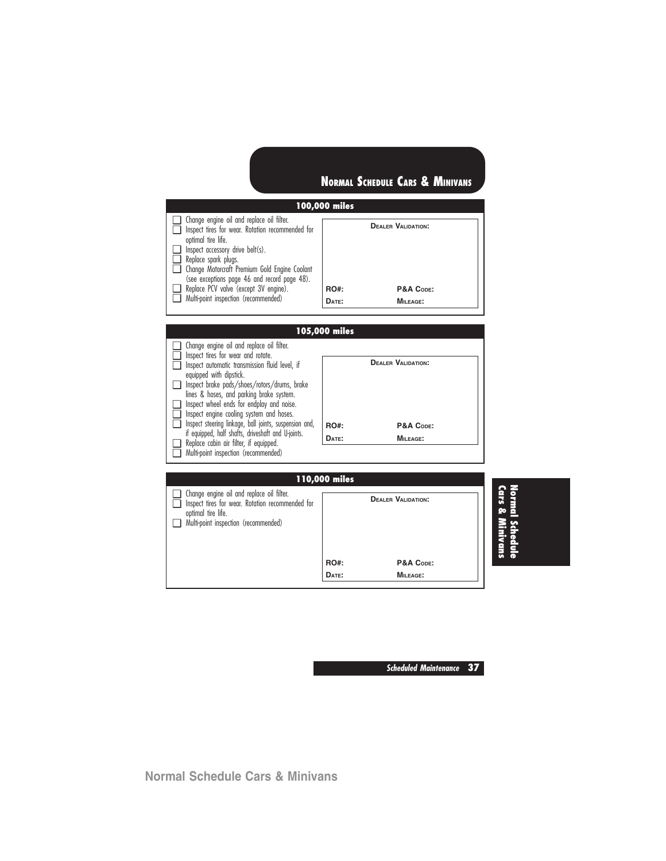#### **100,000 miles** ❑ Change engine oil and replace oil filter. ❑ Inspect tires for wear. Rotation recommended for optimal tire life. ❑ Inspect accessory drive belt(s). ❑ Replace spark plugs. ❑ Change Motorcraft Premium Gold Engine Coolant (see exceptions page 46 and record page 48). ❑ Replace PCV valve (except 3V engine). ❑ Multi-point inspection (recommended) **DEALER VALIDATION: RO#: P&A CODE: DATE: MILEAGE:**



**Cars &Normal Schedule Minivans**

**Scheduled Maintenance 37**

RO#: P&A Code: **DATE: MILEAGE:**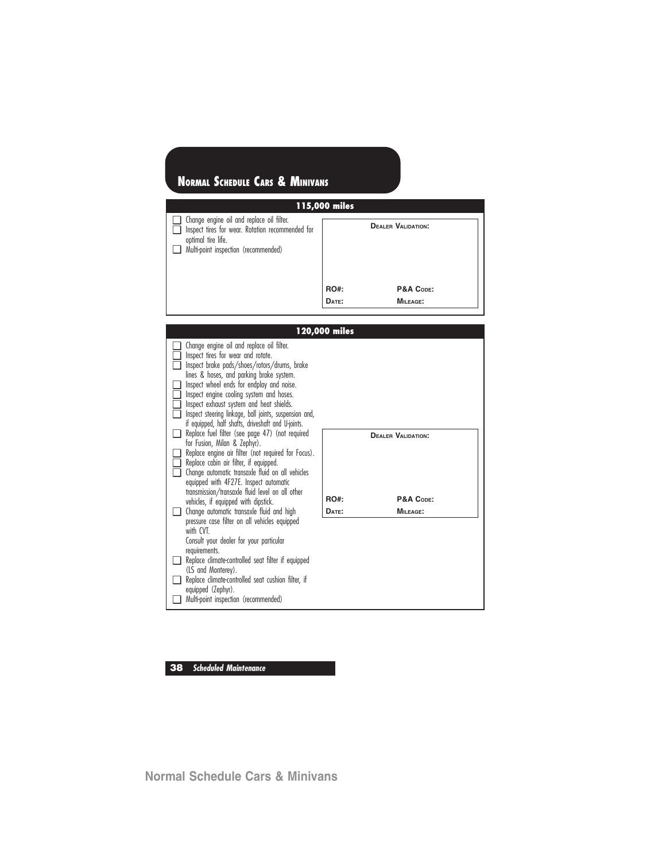| 115,000 miles                                                                                                                                               |             |                           |  |  |  |  |
|-------------------------------------------------------------------------------------------------------------------------------------------------------------|-------------|---------------------------|--|--|--|--|
| Change engine oil and replace oil filter.<br>Inspect tires for wear. Rotation recommended for<br>optimal tire life.<br>Multi-point inspection (recommended) |             | <b>DEALER VALIDATION:</b> |  |  |  |  |
|                                                                                                                                                             | <b>RO#:</b> | P&A CODE:                 |  |  |  |  |
|                                                                                                                                                             | DATE:       | <b>MILEAGE:</b>           |  |  |  |  |

|                            |                                                                                                                                                                                                                                                                                                                                                                                                                                  | 120,000 miles        |                           |
|----------------------------|----------------------------------------------------------------------------------------------------------------------------------------------------------------------------------------------------------------------------------------------------------------------------------------------------------------------------------------------------------------------------------------------------------------------------------|----------------------|---------------------------|
| $\blacksquare$<br>. .<br>□ | Change engine oil and replace oil filter.<br>Inspect tires for wear and rotate.<br>Inspect brake pads/shoes/rotors/drums, brake<br>lines & hoses, and parking brake system.<br>Inspect wheel ends for endplay and noise.<br>Inspect engine cooling system and hoses.<br>Inspect exhaust system and heat shields.<br>Inspect steering linkage, ball joints, suspension and,<br>if equipped, half shafts, driveshaft and U-joints. |                      |                           |
|                            | Replace fuel filter (see page 47) (not required                                                                                                                                                                                                                                                                                                                                                                                  |                      | <b>DEALER VALIDATION:</b> |
|                            | for Fusion, Milan & Zephyr).<br>Replace engine air filter (not required for Focus).<br>Replace cabin air filter, if equipped.<br>Change automatic transaxle fluid on all vehicles<br>equipped with 4F27E. Inspect automatic<br>transmission/transaxle fluid level on all other<br>vehicles, if equipped with dipstick.<br>Change automatic transaxle fluid and high                                                              | <b>RO#:</b><br>DATE: | P&A CODE:<br>MILEAGE:     |
|                            | pressure case filter on all vehicles equipped<br>with CVT<br>Consult your dealer for your particular<br>requirements.<br>Replace climate-controlled seat filter if equipped<br>(LS and Monterey).<br>Replace climate-controlled seat cushion filter, if<br>equipped (Zephyr).<br>Multi-point inspection (recommended)                                                                                                            |                      |                           |

**38 Scheduled Maintenance**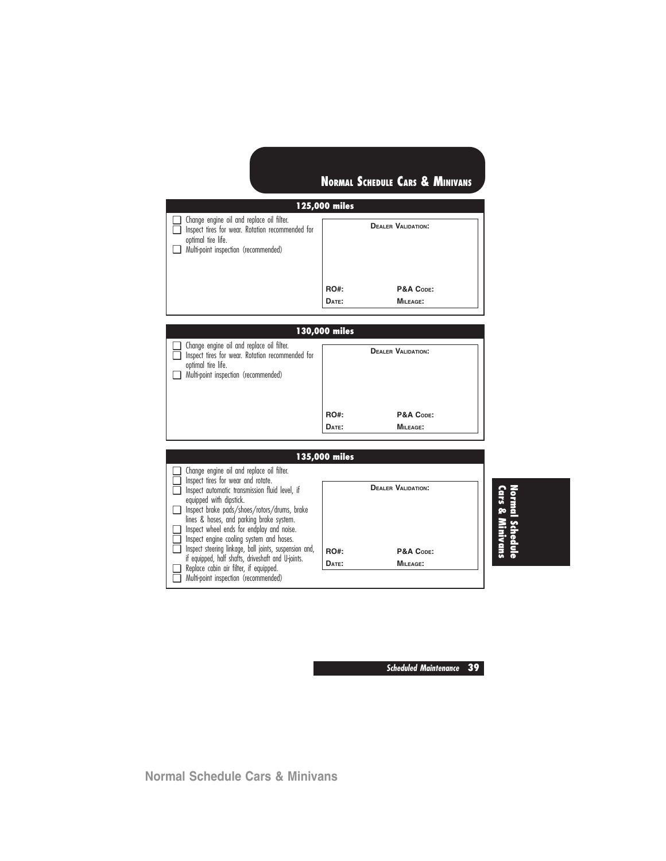### **125,000 miles**

| Change engine oil and replace oil filter.<br>Inspect tires for wear. Rotation recommended for<br>optimal tire life.<br>Multi-point inspection (recommended) |             | <b>DEALER VALIDATION:</b> |
|-------------------------------------------------------------------------------------------------------------------------------------------------------------|-------------|---------------------------|
|                                                                                                                                                             | <b>RO#:</b> | P&A CODE:                 |
|                                                                                                                                                             | DATE:       | $MII$ FAGE:               |

### **130,000 miles**

| $\Box$ Change engine oil and replace oil filter.<br>Inspect tires for wear. Rotation recommended for<br>optimal tire life.<br>Multi-point inspection (recommended) |             | <b>DEALER VALIDATION:</b> |
|--------------------------------------------------------------------------------------------------------------------------------------------------------------------|-------------|---------------------------|
|                                                                                                                                                                    | <b>RO#:</b> | P&A CODE:                 |
|                                                                                                                                                                    | DATE:       | MILEAGE:                  |

#### **135,000 miles** ❑ Change engine oil and replace oil filter. □ Inspect tires for wear and rotate. □ Inspect automatic transmission fluid level, if equipped with dipstick. ❑ Inspect brake pads/shoes/rotors/drums, brake lines & hoses, and parking brake system. ❑ Inspect wheel ends for endplay and noise. □ Inspect engine cooling system and hoses.<br>□ Inspect steering linkage, ball joints, suspensive ❑ Inspect steering linkage, ball joints, suspension and, if equipped, half shafts, driveshaft and U-joints. ❑ Replace cabin air filter, if equipped. ❑ Multi-point inspection (recommended) **DEALER VALIDATION:** RO#: P&A Code: **DATE: MILEAGE:**

# **Cars &Normal Schedule Minivans**

**Scheduled Maintenance 39**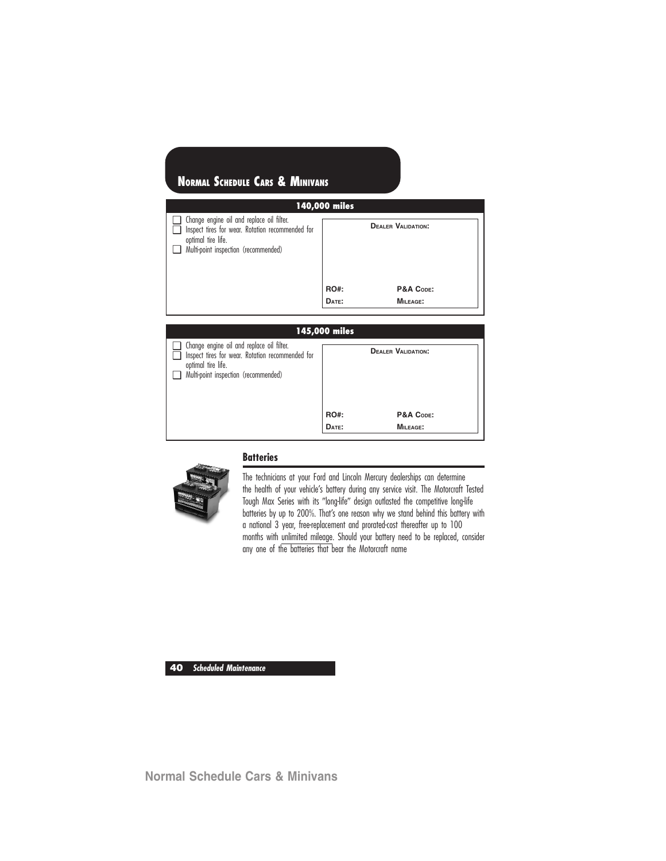| 140,000 miles                                                                                                                                               |                      |                           |  |  |
|-------------------------------------------------------------------------------------------------------------------------------------------------------------|----------------------|---------------------------|--|--|
| Change engine oil and replace oil filter.<br>Inspect tires for wear. Rotation recommended for<br>optimal tire life.<br>Multi-point inspection (recommended) |                      | <b>DEALER VALIDATION:</b> |  |  |
|                                                                                                                                                             | <b>RO#:</b><br>DATE: | P&A CODE:<br>MILEAGE:     |  |  |

| 145,000 miles                                                                                                                                               |             |                           |  |  |
|-------------------------------------------------------------------------------------------------------------------------------------------------------------|-------------|---------------------------|--|--|
| Change engine oil and replace oil filter.<br>Inspect tires for wear. Rotation recommended for<br>optimal tire life.<br>Multi-point inspection (recommended) |             | <b>DEALER VALIDATION:</b> |  |  |
|                                                                                                                                                             | <b>RO#:</b> | P&A CODE:                 |  |  |
|                                                                                                                                                             | DATE:       | MILEAGE:                  |  |  |



# **Batteries**

The technicians at your Ford and Lincoln Mercury dealerships can determine the health of your vehicle's battery during any service visit. The Motorcraft Tested Tough Max Series with its "long-life" design outlasted the competitive long-life batteries by up to 200%. That's one reason why we stand behind this battery with a national 3 year, free-replacement and prorated-cost thereafter up to 100 months with unlimited mileage. Should your battery need to be replaced, consider any one of the batteries that bear the Motorcraft name

**40 Scheduled Maintenance**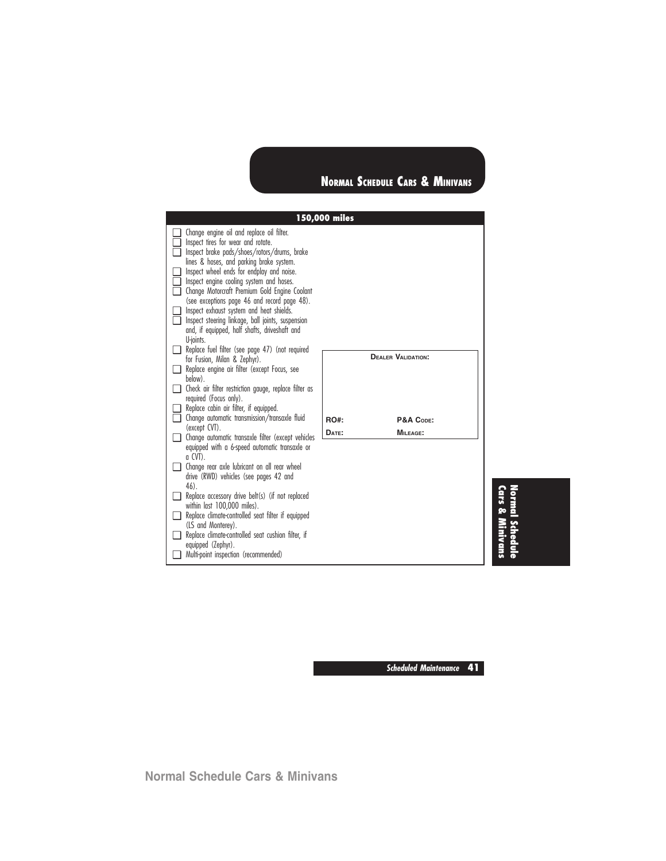|          |                                                                                                                                                                                                                                                                                                                                                                                                                                                                                                                                      | 150,000 miles |                           |
|----------|--------------------------------------------------------------------------------------------------------------------------------------------------------------------------------------------------------------------------------------------------------------------------------------------------------------------------------------------------------------------------------------------------------------------------------------------------------------------------------------------------------------------------------------|---------------|---------------------------|
| l I<br>n | Change engine oil and replace oil filter.<br>Inspect tires for wear and rotate.<br>Inspect brake pads/shoes/rotors/drums, brake<br>lines & hoses, and parking brake system.<br>Inspect wheel ends for endplay and noise.<br>Inspect engine cooling system and hoses.<br>Change Motorcraft Premium Gold Engine Coolant<br>(see exceptions page 46 and record page 48).<br>Inspect exhaust system and heat shields.<br>Inspect steering linkage, ball joints, suspension<br>and, if equipped, half shafts, driveshaft and<br>U-joints. |               |                           |
|          | Replace fuel filter (see page 47) (not required<br>for Fusion, Milan & Zephyr).<br>Replace engine air filter (except Focus, see                                                                                                                                                                                                                                                                                                                                                                                                      |               | <b>DEALER VALIDATION:</b> |
|          | below).<br>Check air filter restriction gauge, replace filter as<br>required (Focus only).<br>Replace cabin air filter, if equipped.                                                                                                                                                                                                                                                                                                                                                                                                 |               |                           |
|          | $\Box$ Change automatic transmission/transaxle fluid                                                                                                                                                                                                                                                                                                                                                                                                                                                                                 | RO#           | P&A CODE:                 |
| $\Box$   | (except CVT).<br>Change automatic transaxle filter (except vehicles<br>equipped with a 6-speed automatic transaxle or                                                                                                                                                                                                                                                                                                                                                                                                                | DATE:         | MILEAGE:                  |
|          | $q$ CVT).<br>Change rear axle lubricant on all rear wheel<br>drive (RWD) vehicles (see pages 42 and<br>$46$ ).                                                                                                                                                                                                                                                                                                                                                                                                                       |               |                           |
|          | Replace accessory drive belt(s) (if not replaced<br>within last 100,000 miles).                                                                                                                                                                                                                                                                                                                                                                                                                                                      |               |                           |
| l 1      | Replace climate-controlled seat filter if equipped                                                                                                                                                                                                                                                                                                                                                                                                                                                                                   |               |                           |
| l I      | (LS and Monterey).<br>Replace climate-controlled seat cushion filter, if<br>equipped (Zephyr).                                                                                                                                                                                                                                                                                                                                                                                                                                       |               |                           |
|          | Multi-point inspection (recommended)                                                                                                                                                                                                                                                                                                                                                                                                                                                                                                 |               |                           |

**Cars &Normal Schedule Minivans**

**Scheduled Maintenance 41**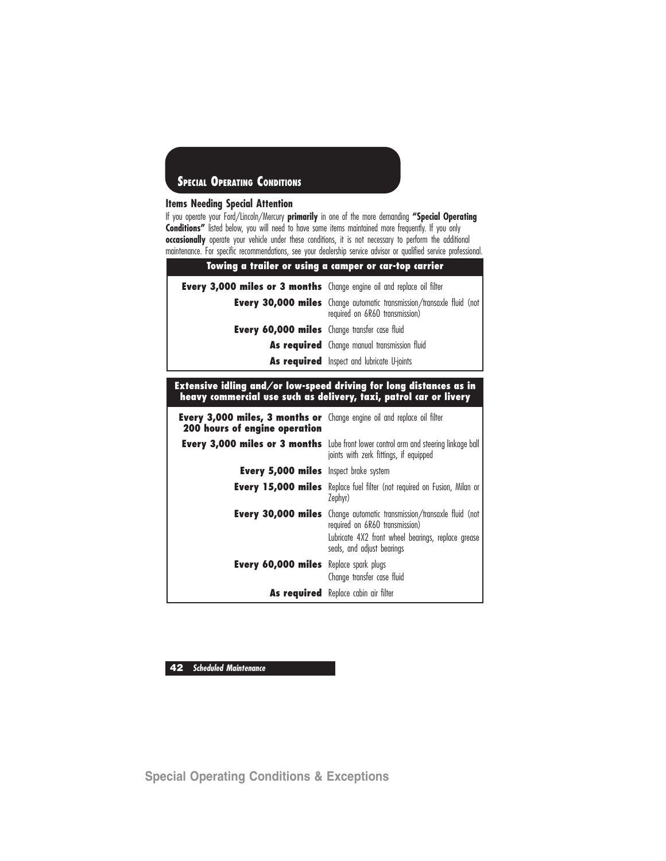#### **Items Needing Special Attention**

If you operate your Ford/Lincoln/Mercury **primarily** in one of the more demanding **"Special Operating** Conditions" listed below, you will need to have some items maintained more frequently. If you only **occasionally** operate your vehicle under these conditions, it is not necessary to perform the additional maintenance. For specific recommendations, see your dealership service advisor or qualified service professional.

| Towing a trailer or using a camper or car-top carrier                         |                                                                                                                |  |  |
|-------------------------------------------------------------------------------|----------------------------------------------------------------------------------------------------------------|--|--|
| <b>Every 3,000 miles or 3 months</b> Change engine oil and replace oil filter |                                                                                                                |  |  |
|                                                                               | <b>Every 30,000 miles</b> Change automatic transmission/transaxle fluid (not<br>required on 6R60 transmission) |  |  |
| <b>Every 60,000 miles</b> Change transfer case fluid                          |                                                                                                                |  |  |
|                                                                               | <b>As required</b> Change manual transmission fluid                                                            |  |  |
|                                                                               | As required Inspect and lubricate U-joints                                                                     |  |  |

#### **Extensive idling and/or low-speed driving for long distances as in heavy commercial use such as delivery, taxi, patrol car or livery**

| <b>Every 3,000 miles, 3 months or</b> Change engine oil and replace oil filter<br><b>200 hours of engine operation</b> |                                                                                                                                                                                                    |
|------------------------------------------------------------------------------------------------------------------------|----------------------------------------------------------------------------------------------------------------------------------------------------------------------------------------------------|
|                                                                                                                        | <b>Every 3,000 miles or 3 months</b> Lube front lower control arm and steering linkage ball<br>joints with zerk fittings, if equipped                                                              |
| <b>Every 5,000 miles</b> Inspect brake system                                                                          |                                                                                                                                                                                                    |
|                                                                                                                        | <b>Every 15,000 miles</b> Replace fuel filter (not required on Fusion, Milan or<br>Zephyr)                                                                                                         |
|                                                                                                                        | <b>Every 30,000 miles</b> Change automatic transmission/transaxle fluid (not<br>required on 6R60 transmission)<br>Lubricate 4X2 front wheel bearings, replace grease<br>seals, and adjust bearings |
| <b>Every 60,000 miles</b> Replace spark plugs                                                                          | Change transfer case fluid                                                                                                                                                                         |
|                                                                                                                        | As required Replace cabin air filter                                                                                                                                                               |

**42 Scheduled Maintenance**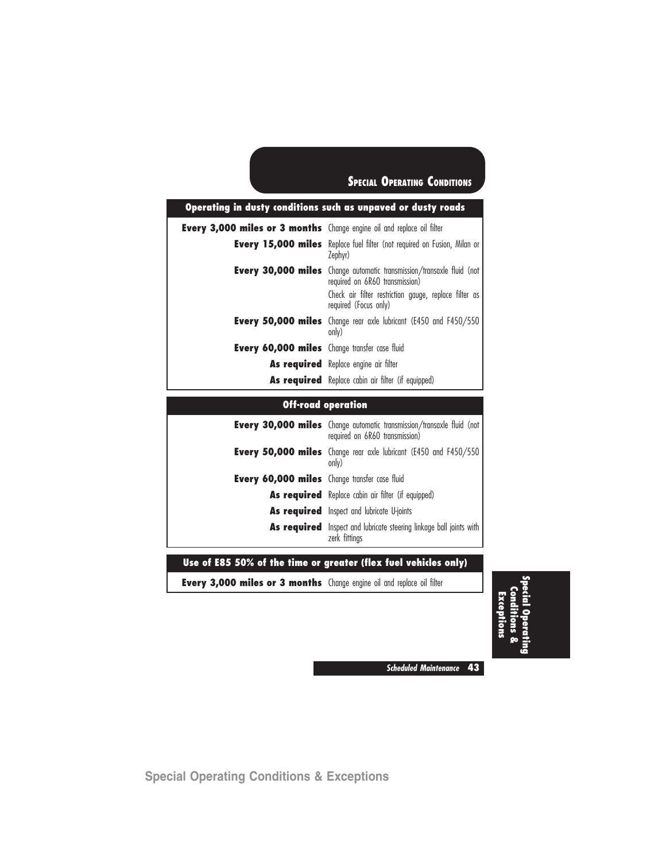| Operating in dusty conditions such as unpaved or dusty roads                  |                                                                                                                                                                                                  |  |  |
|-------------------------------------------------------------------------------|--------------------------------------------------------------------------------------------------------------------------------------------------------------------------------------------------|--|--|
| <b>Every 3,000 miles or 3 months</b> Change engine oil and replace oil filter |                                                                                                                                                                                                  |  |  |
|                                                                               | <b>Every 15,000 miles</b> Replace fuel filter (not required on Fusion, Milan or<br>Zephyr)                                                                                                       |  |  |
|                                                                               | <b>Every 30,000 miles</b> Change automatic transmission/transaxle fluid (not<br>required on 6R60 transmission)<br>Check air filter restriction gauge, replace filter as<br>required (Focus only) |  |  |
|                                                                               | <b>Every 50,000 miles</b> Change rear axle lubricant (E450 and F450/550<br>only)                                                                                                                 |  |  |
| <b>Every 60,000 miles</b> Change transfer case fluid                          |                                                                                                                                                                                                  |  |  |
|                                                                               | As required Replace engine air filter                                                                                                                                                            |  |  |
|                                                                               | <b>As required</b> Replace cabin air filter (if equipped)                                                                                                                                        |  |  |

### **Off-road operation**

|                                               | Every 30,000 miles Change automatic transmission/transaxle fluid (not  <br>required on 6R60 transmission) |
|-----------------------------------------------|-----------------------------------------------------------------------------------------------------------|
|                                               | Every 50,000 miles Change rear axle lubricant (E450 and F450/550<br>only)                                 |
| Every 60,000 miles Change transfer case fluid |                                                                                                           |
|                                               | As required Replace cabin air filter (if equipped)                                                        |
|                                               | As required Inspect and lubricate U-joints                                                                |
|                                               | As required Inspect and lubricate steering linkage ball joints with<br>zerk fittings                      |

**Use of E85 50% of the time or greater (flex fuel vehicles only)**

**Every 3,000 miles or 3 months** Change engine oil and replace oil filter

**Special Operating Conditions & Exceptions**

**Scheduled Maintenance 43**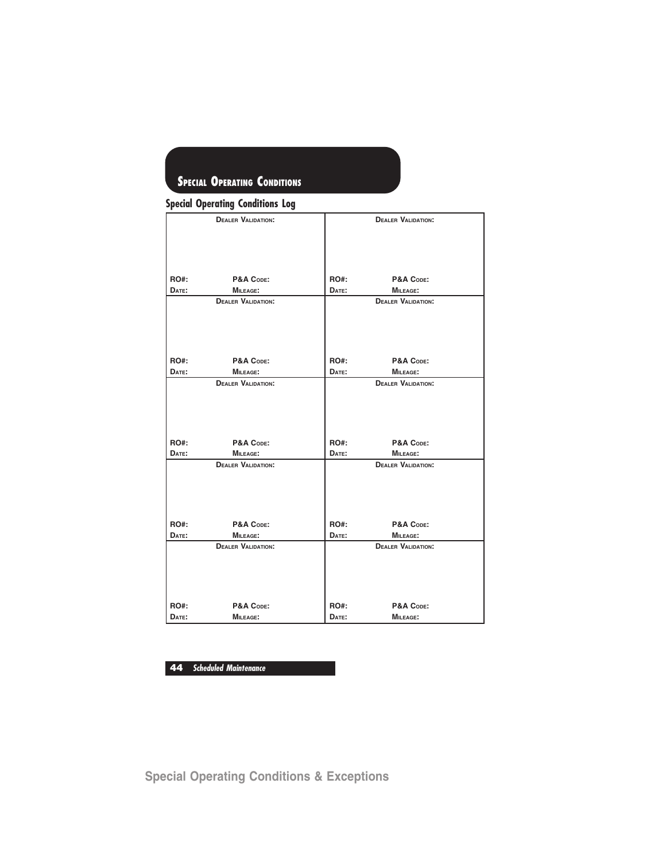|  | <b>Special Operating Conditions Log</b> |  |  |
|--|-----------------------------------------|--|--|
|--|-----------------------------------------|--|--|

|             | <b>DEALER VALIDATION:</b> |             | <b>DEALER VALIDATION:</b> |
|-------------|---------------------------|-------------|---------------------------|
|             |                           |             |                           |
| <b>RO#:</b> | P&A CODE:                 | RO#:        | P&A CODE:                 |
| DATE:       | <b>MILEAGE:</b>           | DATE:       | <b>MILEAGE:</b>           |
|             | <b>DEALER VALIDATION:</b> |             | <b>DEALER VALIDATION:</b> |
| <b>RO#:</b> | P&A CODE:                 | <b>RO#:</b> | P&A CODE:                 |
| DATE:       | <b>MILEAGE:</b>           | DATE:       | <b>MILEAGE:</b>           |
|             | <b>DEALER VALIDATION:</b> |             | <b>DEALER VALIDATION:</b> |
| <b>RO#:</b> | P&A CODE:                 | <b>RO#:</b> | P&A CODE:                 |
| DATE:       | <b>MILEAGE:</b>           | DATE:       | <b>MILEAGE:</b>           |
|             | <b>DEALER VALIDATION:</b> |             | <b>DEALER VALIDATION:</b> |
| <b>RO#:</b> | P&A CODE:                 | <b>RO#:</b> | P&A CODE:                 |
| DATE:       | MILEAGE:                  | DATE:       | <b>MILEAGE:</b>           |
|             | <b>DEALER VALIDATION:</b> |             | <b>DEALER VALIDATION:</b> |
| <b>RO#:</b> | P&A CODE:                 | RO#:        | P&A CODE:                 |
| DATE:       | <b>MILEAGE:</b>           | DATE:       | <b>MILEAGE:</b>           |

**44 Scheduled Maintenance**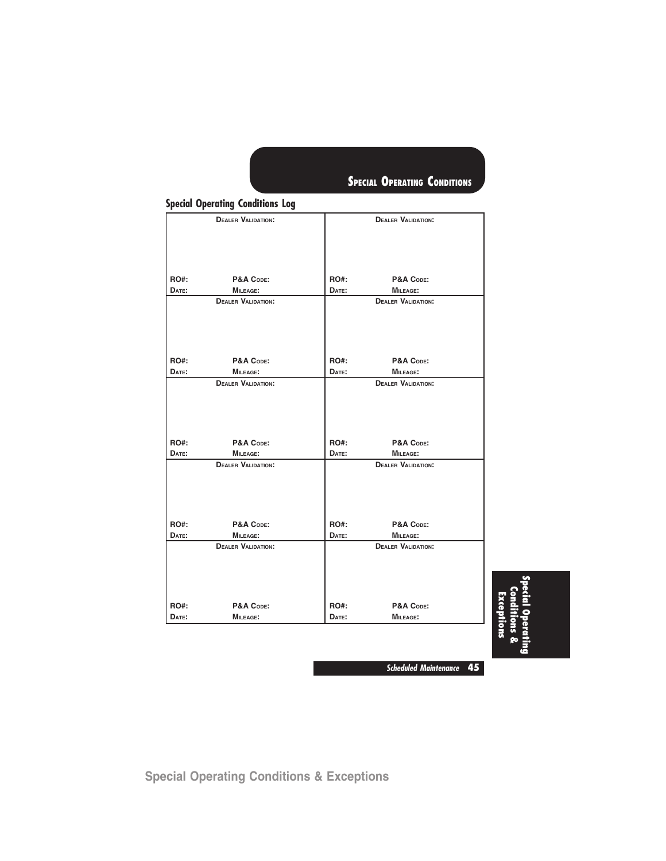|             | <b>DEALER VALIDATION:</b>                    |             | <b>DEALER VALIDATION:</b>                    |  |
|-------------|----------------------------------------------|-------------|----------------------------------------------|--|
|             |                                              |             |                                              |  |
|             |                                              |             |                                              |  |
| <b>RO#:</b> | P&A CODE:                                    | RO#:        | P&A CODE:                                    |  |
| DATE:       | <b>MILEAGE:</b>                              | DATE:       | MILEAGE:                                     |  |
|             | <b>DEALER VALIDATION:</b>                    |             | <b>DEALER VALIDATION:</b>                    |  |
| <b>RO#:</b> | P&A CODE:                                    | RO#:        | P&A CODE:                                    |  |
| DATE:       | <b>MILEAGE:</b><br><b>DEALER VALIDATION:</b> | DATE:       | <b>MILEAGE:</b><br><b>DEALER VALIDATION:</b> |  |
|             |                                              |             |                                              |  |
| RO#:        | P&A CODE:                                    | RO#:        | P&A CODE:                                    |  |
| DATE:       | <b>MILEAGE:</b>                              | DATE:       | MILEAGE:                                     |  |
|             | <b>DEALER VALIDATION:</b>                    |             | <b>DEALER VALIDATION:</b>                    |  |
| RO#:        | P&A CODE:                                    | RO#:        | P&A CODE:                                    |  |
| DATE:       | <b>MILEAGE:</b>                              | DATE:       | <b>MILEAGE:</b>                              |  |
|             | <b>DEALER VALIDATION:</b>                    |             | <b>DEALER VALIDATION:</b>                    |  |
|             |                                              |             |                                              |  |
|             |                                              |             |                                              |  |
| RO#:        | P&A CODE:                                    | <b>RO#:</b> | P&A CODE:                                    |  |

**Special Operating Conditions Log**

**Special Operating Conditions & Exceptions**

**Scheduled Maintenance 45**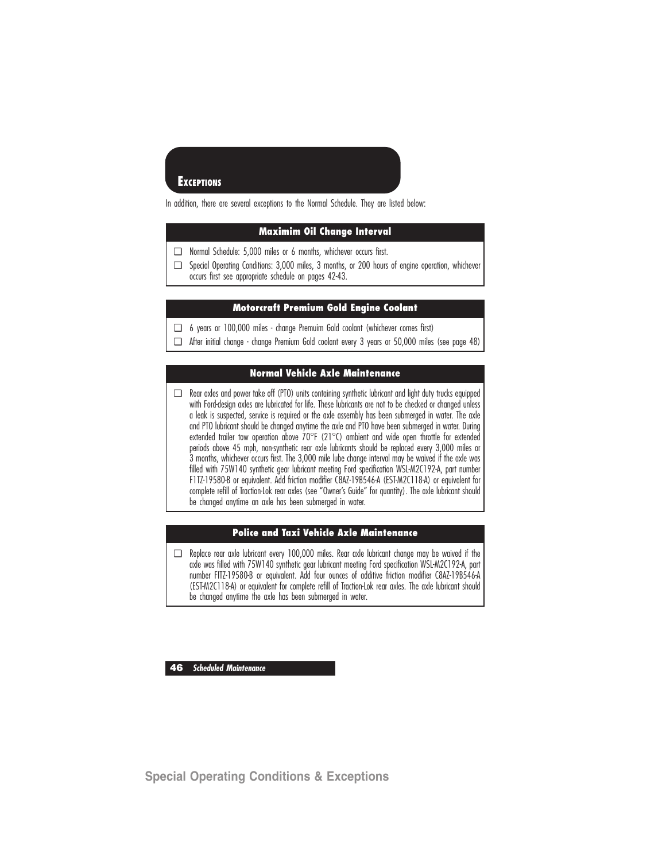### **EXCEPTIONS**

In addition, there are several exceptions to the Normal Schedule. They are listed below:

### **Maximim Oil Change Interval**

- ❑ Normal Schedule: 5,000 miles or 6 months, whichever occurs first.
- ❑ Special Operating Conditions: 3,000 miles, 3 months, or 200 hours of engine operation, whichever occurs first see appropriate schedule on pages 42-43.

#### **Motorcraft Premium Gold Engine Coolant**

- ❑ 6 years or 100,000 miles change Premuim Gold coolant (whichever comes first)
- ❑ After initial change change Premium Gold coolant every 3 years or 50,000 miles (see page 48)

### **Normal Vehicle Axle Maintenance**

❑ Rear axles and power take off (PTO) units containing synthetic lubricant and light duty trucks equipped with Ford-design axles are lubricated for life. These lubricants are not to be checked or changed unless a leak is suspected, service is required or the axle assembly has been submerged in water. The axle and PTO lubricant should be changed anytime the axle and PTO have been submerged in water. During extended trailer tow operation above  $70^{\circ}$ F (21 $^{\circ}$ C) ambient and wide open throttle for extended periods above 45 mph, non-synthetic rear axle lubricants should be replaced every 3,000 miles or 3 months, whichever occurs first. The 3,000 mile lube change interval may be waived if the axle was filled with 75W140 synthetic gear lubricant meeting Ford specification WSL-M2C192-A, part number F1TZ-19580-B or equivalent. Add friction modifier C8AZ-19B546-A (EST-M2C118-A) or equivalent for complete refill of Traction-Lok rear axles (see "Owner's Guide" for quantity). The axle lubricant should be changed anytime an axle has been submerged in water.

### **Police and Taxi Vehicle Axle Maintenance**

❑ Replace rear axle lubricant every 100,000 miles. Rear axle lubricant change may be waived if the axle was filled with 75W140 synthetic gear lubricant meeting Ford specification WSL-M2C192-A, part number FITZ-19580-B or equivalent. Add four ounces of additive friction modifier C8AZ-19B546-A (EST-M2C118-A) or equivalent for complete refill of Traction-Lok rear axles. The axle lubricant should be changed anytime the axle has been submerged in water.

**46 Scheduled Maintenance**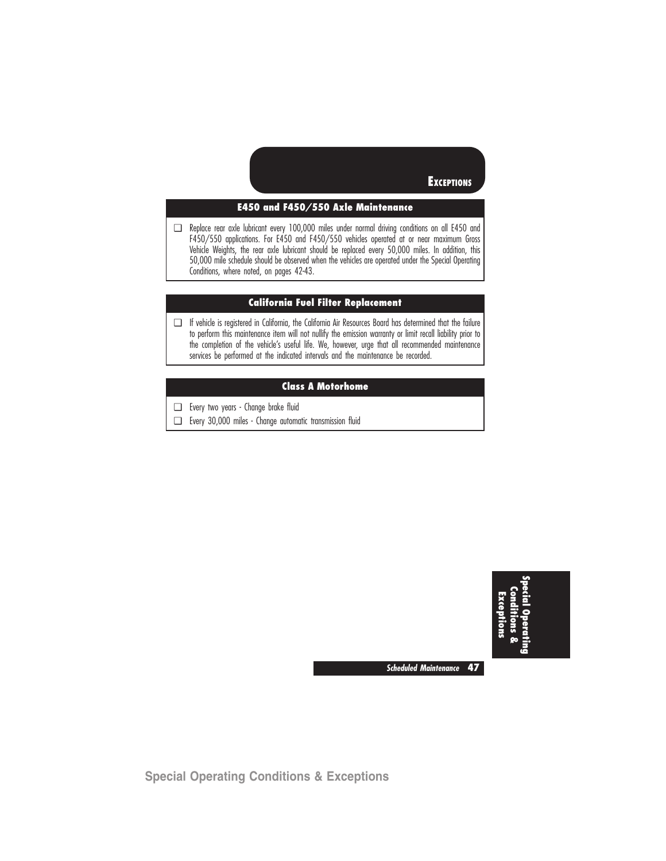**EXCEPTIONS** 

### **E450 and F450/550 Axle Maintenance**

❑ Replace rear axle lubricant every 100,000 miles under normal driving conditions on all E450 and F450/550 applications. For E450 and F450/550 vehicles operated at or near maximum Gross Vehicle Weights, the rear axle lubricant should be replaced every 50,000 miles. In addition, this 50,000 mile schedule should be observed when the vehicles are operated under the Special Operating Conditions, where noted, on pages 42-43.

### **California Fuel Filter Replacement**

❑ If vehicle is registered in California, the California Air Resources Board has determined that the failure to perform this maintenance item will not nullify the emission warranty or limit recall liability prior to the completion of the vehicle's useful life. We, however, urge that all recommended maintenance services be performed at the indicated intervals and the maintenance be recorded.

#### **Class A Motorhome**

- ❑ Every two years Change brake fluid
- ❑ Every 30,000 miles Change automatic transmission fluid